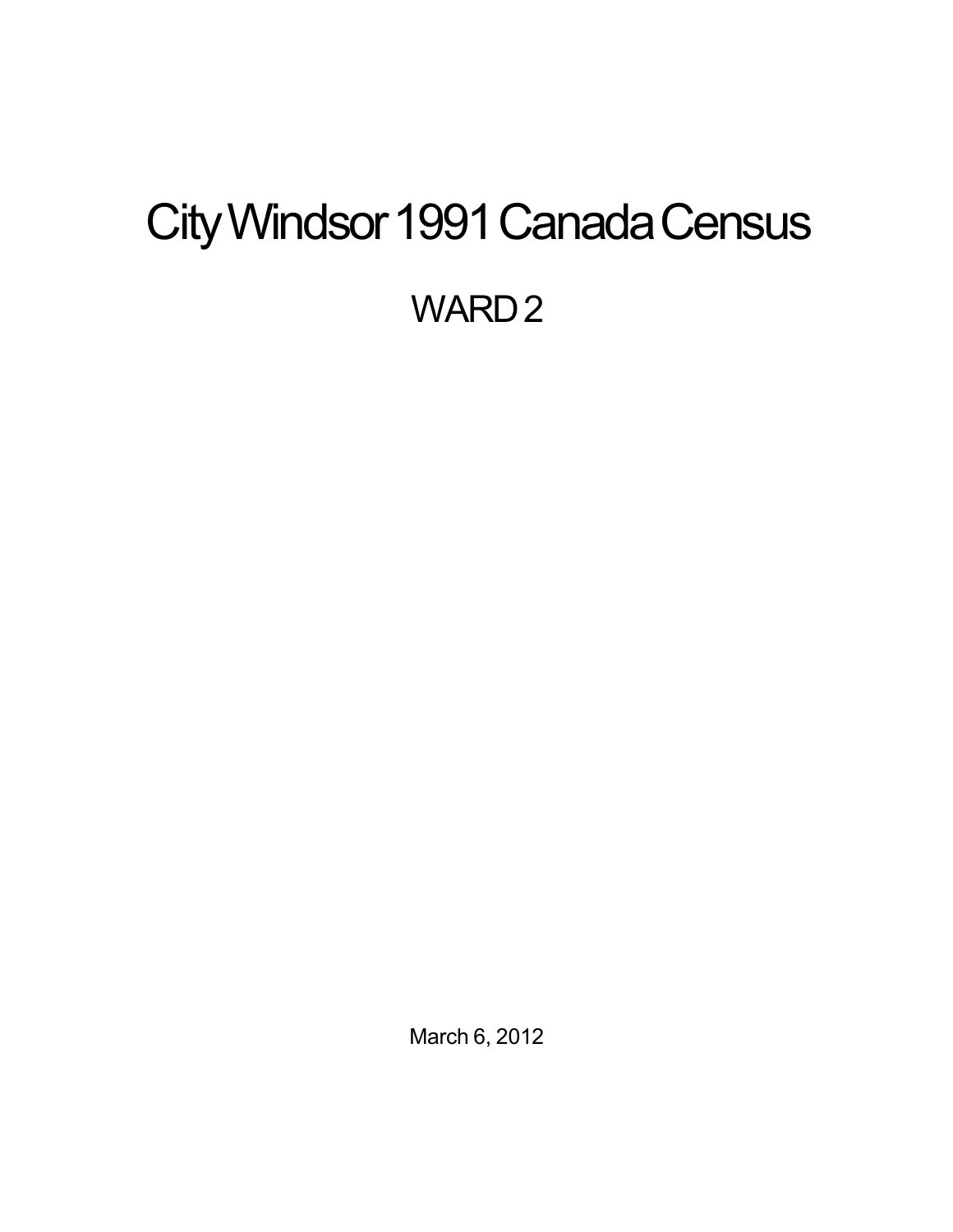# <span id="page-0-0"></span>City Windsor 1991 Canada Census WARD<sub>2</sub>

March 6, 2012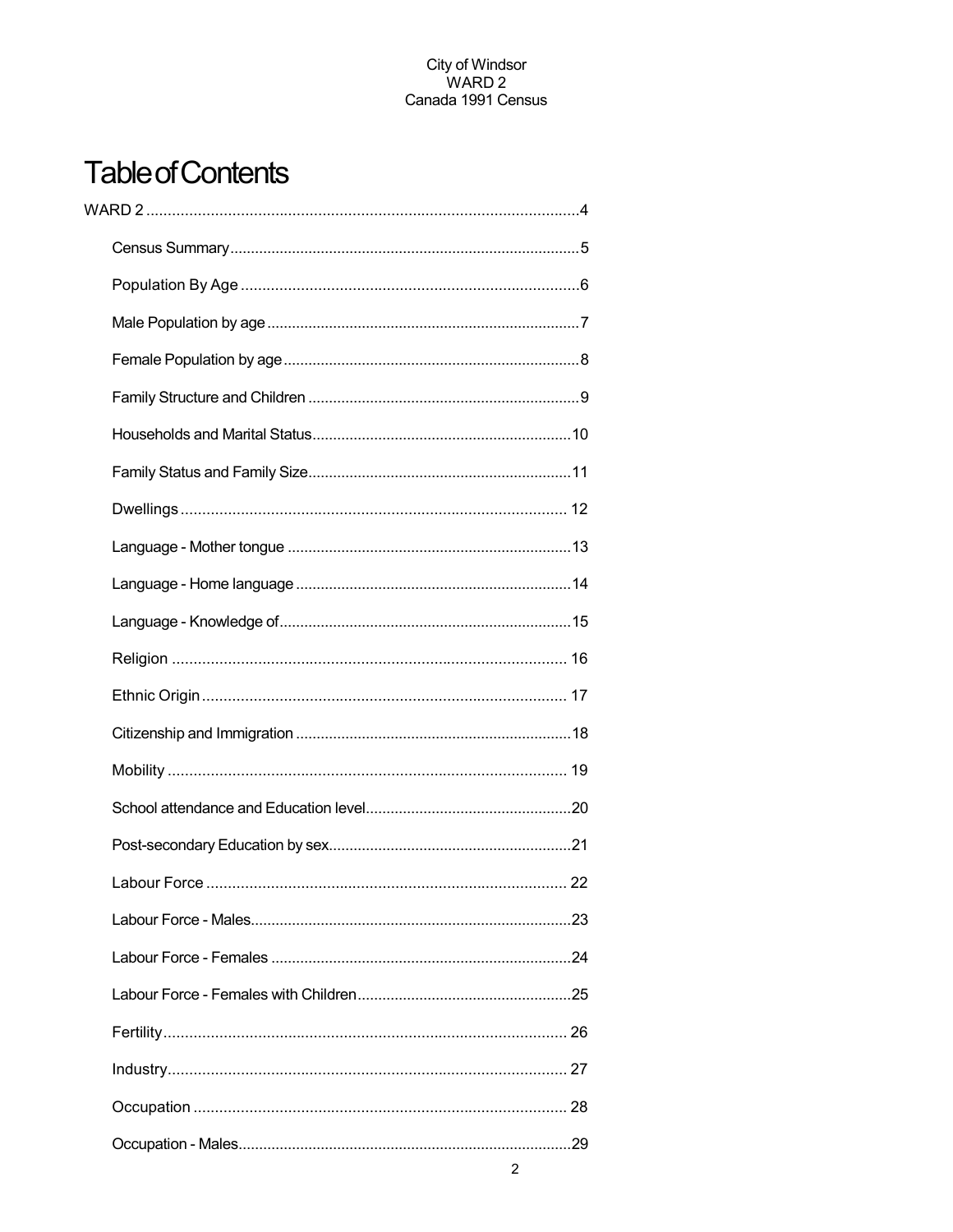## **Table of Contents**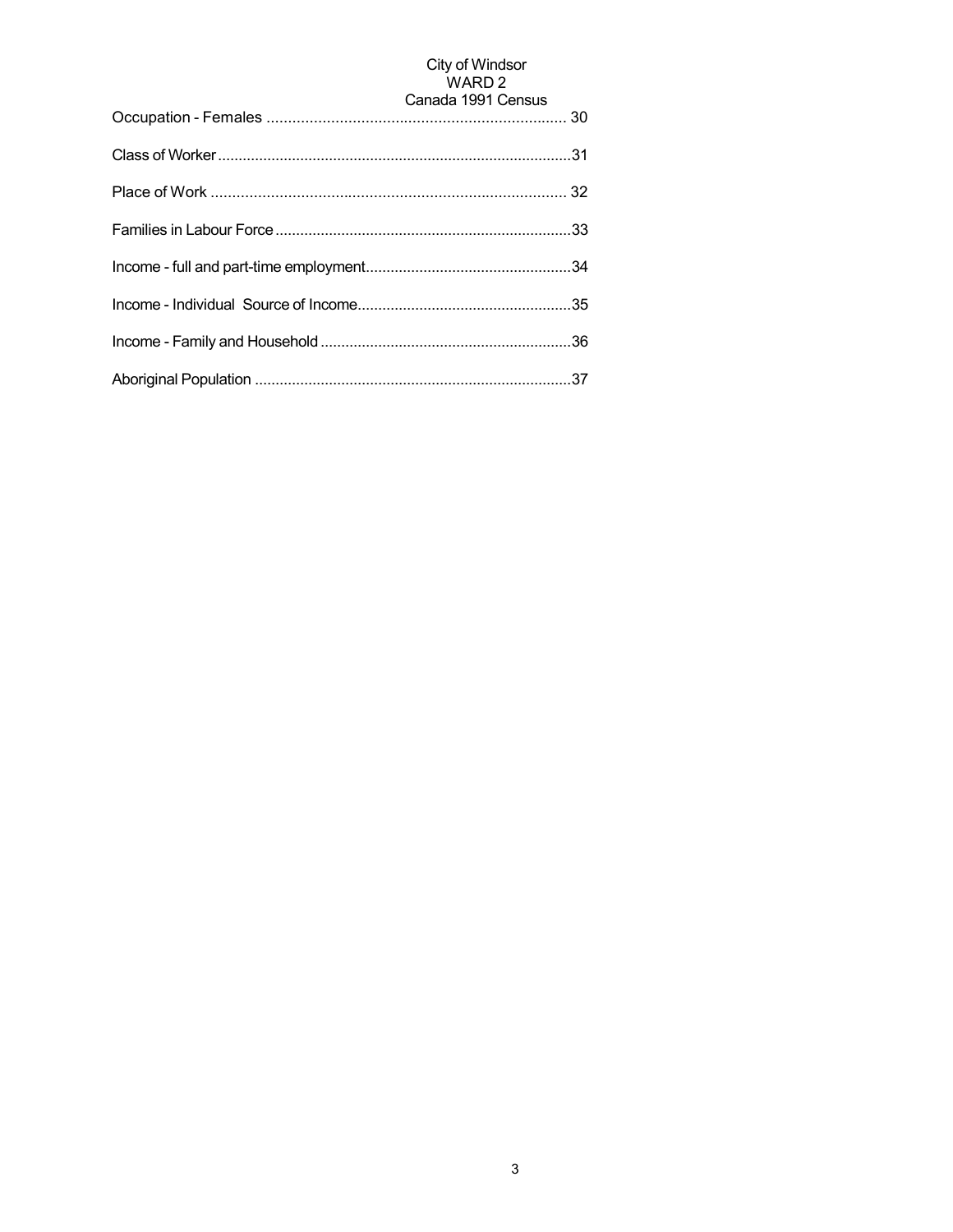## City of Windsor<br>WARD 2

| Canada 1991 Census |
|--------------------|
|                    |
|                    |
|                    |
|                    |
|                    |
|                    |
|                    |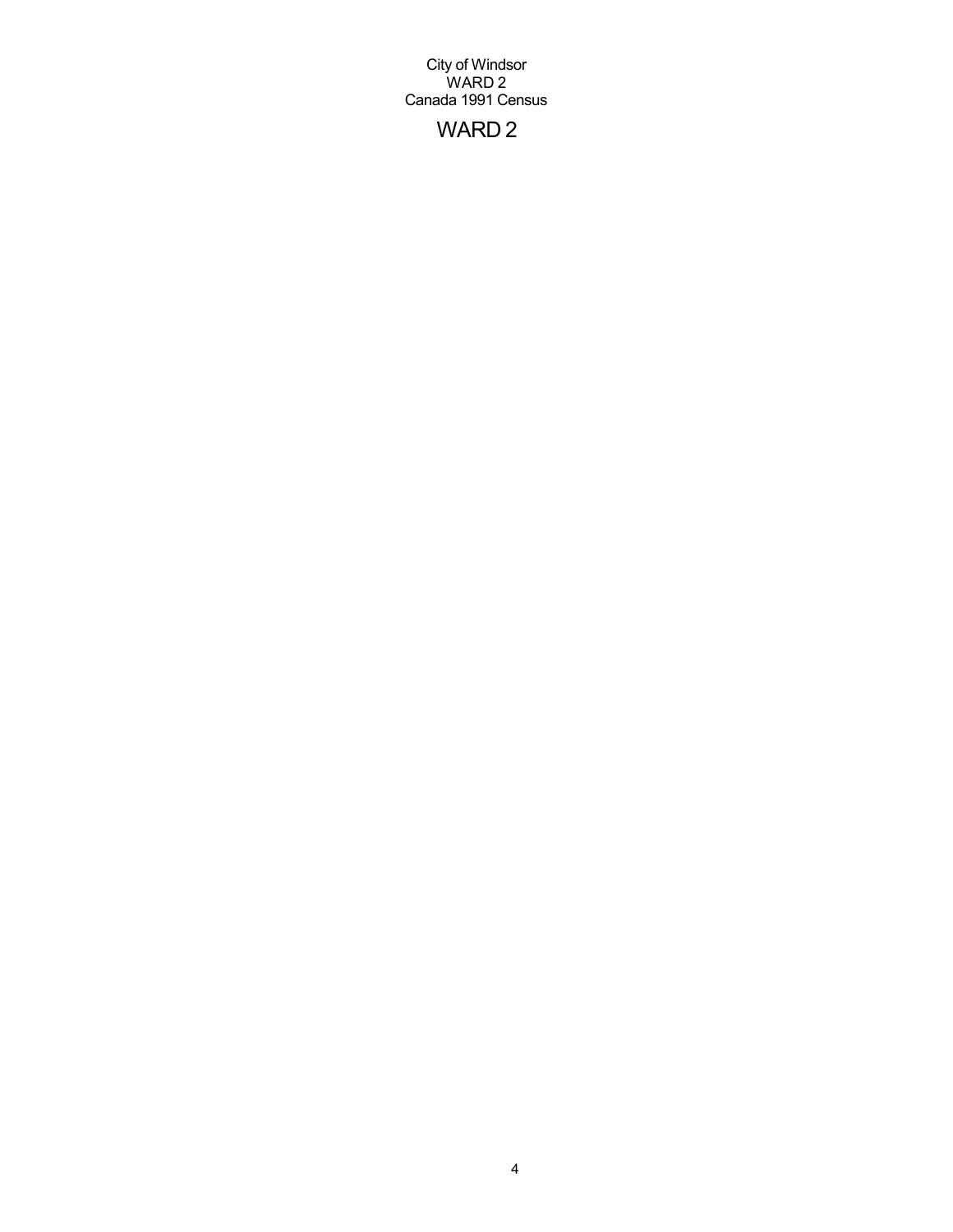## WARD 2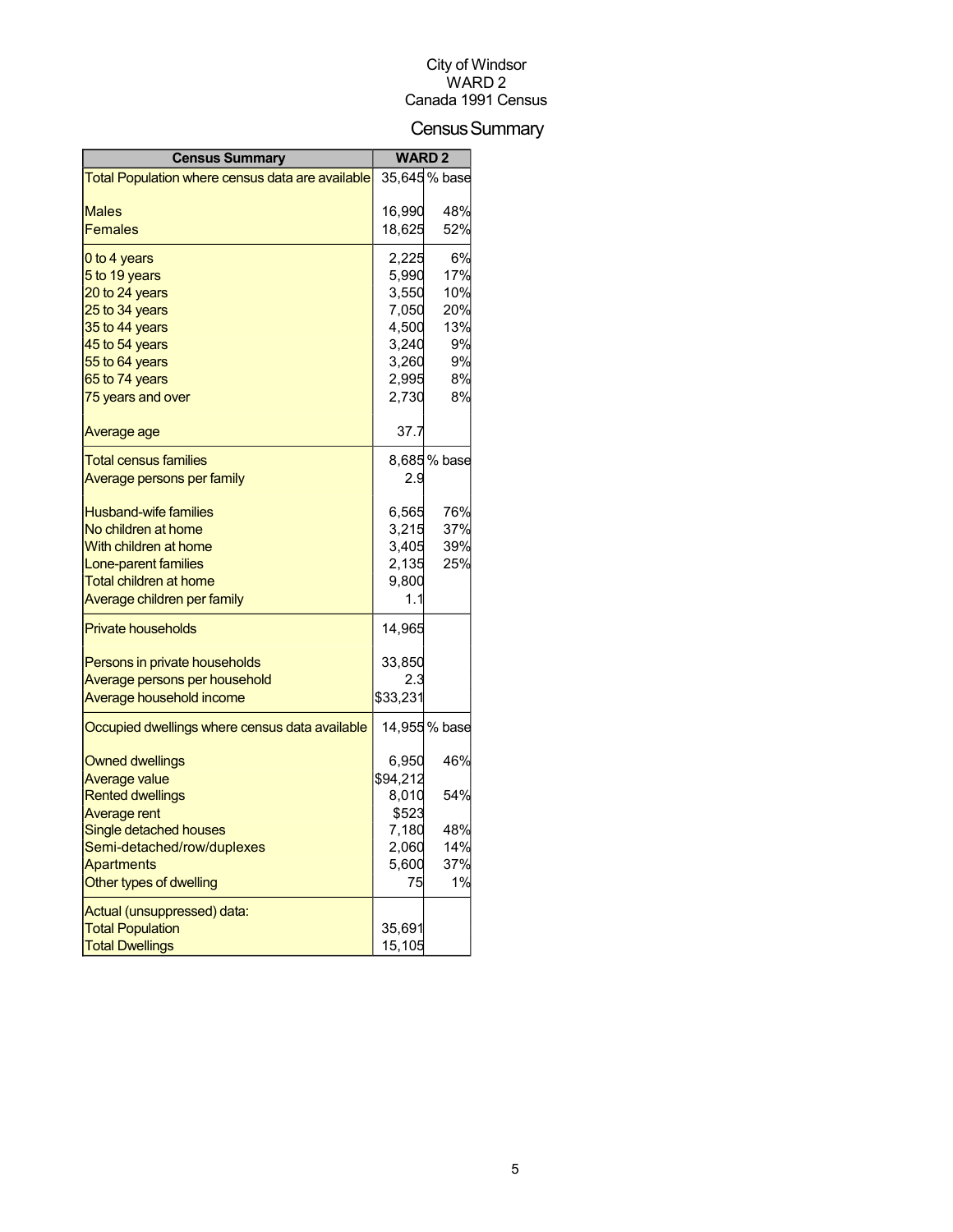## Census Summary

| <b>Census Summary</b>                             |                | <b>WARD 2</b> |  |
|---------------------------------------------------|----------------|---------------|--|
| Total Population where census data are available  |                | 35,645 % base |  |
|                                                   |                |               |  |
| Males                                             | 16,990         | 48%           |  |
| Females                                           | 18,625         | 52%           |  |
| 0 to 4 years                                      | 2,225          | 6%            |  |
| 5 to 19 years                                     | 5,990          | 17%           |  |
| 20 to 24 years                                    | 3,550          | 10%           |  |
| 25 to 34 years                                    | 7,050          | 20%           |  |
| 35 to 44 years                                    | 4,500          | 13%           |  |
| 45 to 54 years                                    | 3,240          | 9%            |  |
| 55 to 64 years                                    | 3,260          | 9%            |  |
| 65 to 74 years                                    | 2,995          | 8%            |  |
| 75 years and over                                 | 2,730          | 8%            |  |
| Average age                                       | 37.7           |               |  |
| <b>Total census families</b>                      |                | 8,685% base   |  |
| <u>Average persons per family</u>                 | 2.9            |               |  |
|                                                   |                |               |  |
| <b>Husband-wife families</b>                      | 6,565          | 76%           |  |
| No children at home                               | 3,215          | 37%           |  |
| With children at home                             | 3,405          | 39%           |  |
| Lone-parent families                              | 2,135          | 25%           |  |
| <b>Total children at home</b>                     | 9,800          |               |  |
| Average children per family                       | 1.1            |               |  |
| <b>Private households</b>                         | 14,965         |               |  |
| Persons in private households                     | 33,850         |               |  |
| Average persons per household                     | 2.3            |               |  |
| Average household income                          | \$33,231       |               |  |
| Occupied dwellings where census data available    |                | 14,955 % base |  |
|                                                   |                |               |  |
| <b>Owned dwellings</b>                            | 6,950          | 46%           |  |
| <b>Average value</b>                              | \$94,212       |               |  |
| <b>Rented dwellings</b><br><b>Average rent</b>    | 8,010          | 54%           |  |
| Single detached houses                            | \$523<br>7,180 | 48%           |  |
| Semi-detached/row/duplexes                        | 2,060          | 14%           |  |
| Apartments                                        | 5,600          | 37%           |  |
| Other types of dwelling                           | 75             | 1%            |  |
|                                                   |                |               |  |
| Actual (unsuppressed) data:                       |                |               |  |
| <b>Total Population</b><br><b>Total Dwellings</b> | 35,691         |               |  |
|                                                   | 15,105         |               |  |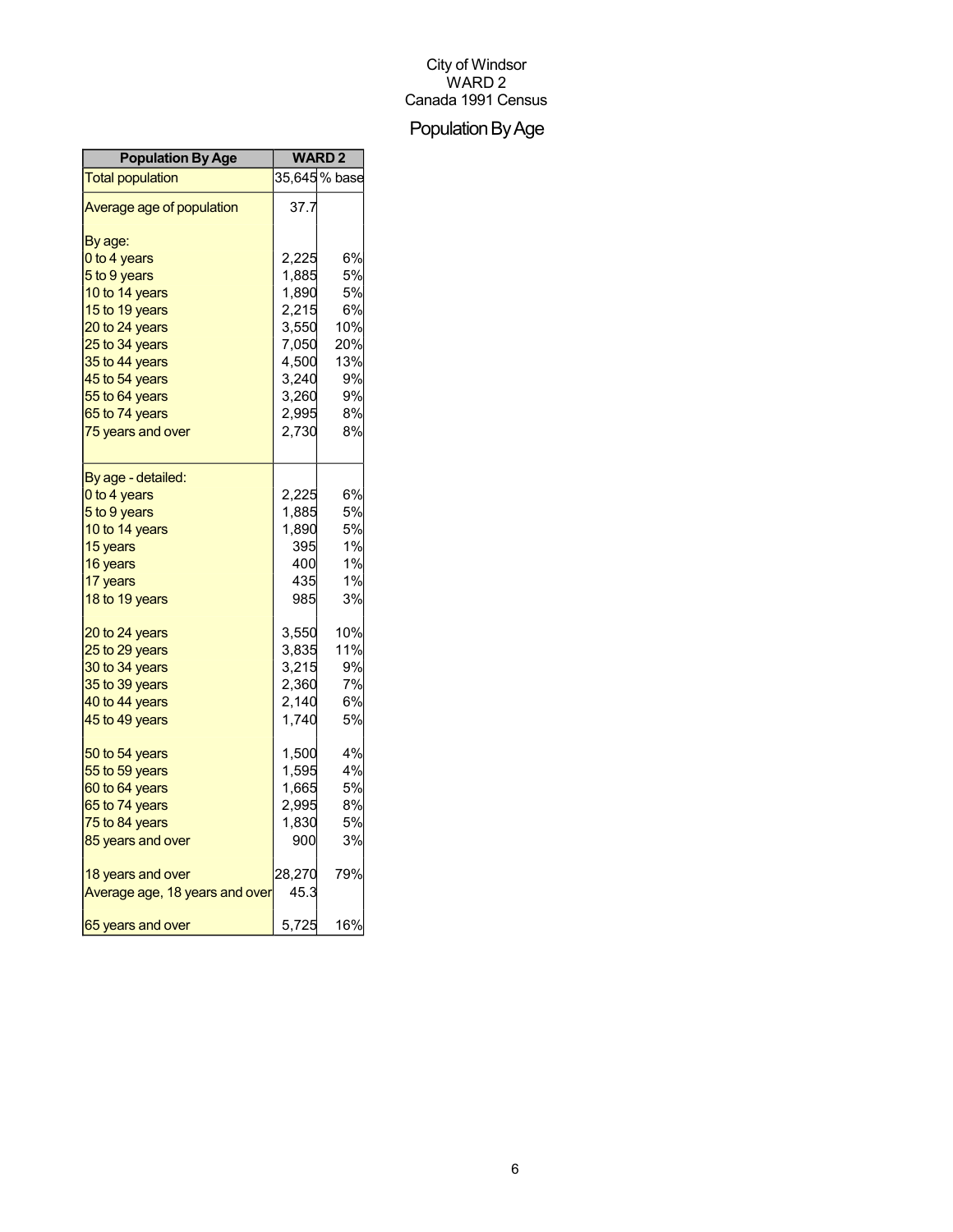## Population By Age

| <b>Population By Age</b>       | <b>WARD2</b> |              |
|--------------------------------|--------------|--------------|
| <b>Total population</b>        |              | 35,645% base |
| Average age of population      | 37.7         |              |
| By age:                        |              |              |
| 0 to 4 years                   | 2,225        | 6%           |
| 5 to 9 years                   | 1,885        | 5%           |
| 10 to 14 years                 | 1,890        | 5%           |
| 15 to 19 years                 | 2,215        | 6%           |
| 20 to 24 years                 | 3,550        | 10%          |
| 25 to 34 years                 | 7,050        | 20%          |
| 35 to 44 years                 | 4,500        | 13%          |
| 45 to 54 years                 | 3,240        | 9%           |
| 55 to 64 years                 | 3,260        | 9%           |
| 65 to 74 years                 | 2,995        | 8%           |
| 75 years and over              | 2,730        | 8%           |
| By age - detailed:             |              |              |
| 0 to 4 years                   | 2,225        | 6%           |
| 5 to 9 years                   | 1,885        | 5%           |
| 10 to 14 years                 | 1,890        | 5%           |
| 15 years                       | 395          | 1%           |
| 16 years                       | 400          | 1%           |
| 17 years                       | 435          | 1%           |
| 18 to 19 years                 | 985          | 3%           |
| 20 to 24 years                 | 3,550        | 10%          |
| 25 to 29 years                 | 3,835        | 11%          |
| 30 to 34 years                 | 3,215        | 9%           |
| 35 to 39 years                 | 2,360        | 7%           |
| 40 to 44 years                 | 2,140        | 6%           |
| 45 to 49 years                 | 1,740        | 5%           |
| 50 to 54 years                 | 1,500        | 4%           |
| 55 to 59 years                 | 1,595        | 4%           |
| 60 to 64 years                 | 1,665        | 5%           |
| 65 to 74 years                 | 2,995        | 8%           |
| 75 to 84 years                 | 1,830        | 5%           |
| 85 years and over              | 900          | 3%           |
| 18 years and over              | 28,270       | 79%          |
| Average age, 18 years and over | 45.3         |              |
| 65 years and over              | 5,725        | 16%          |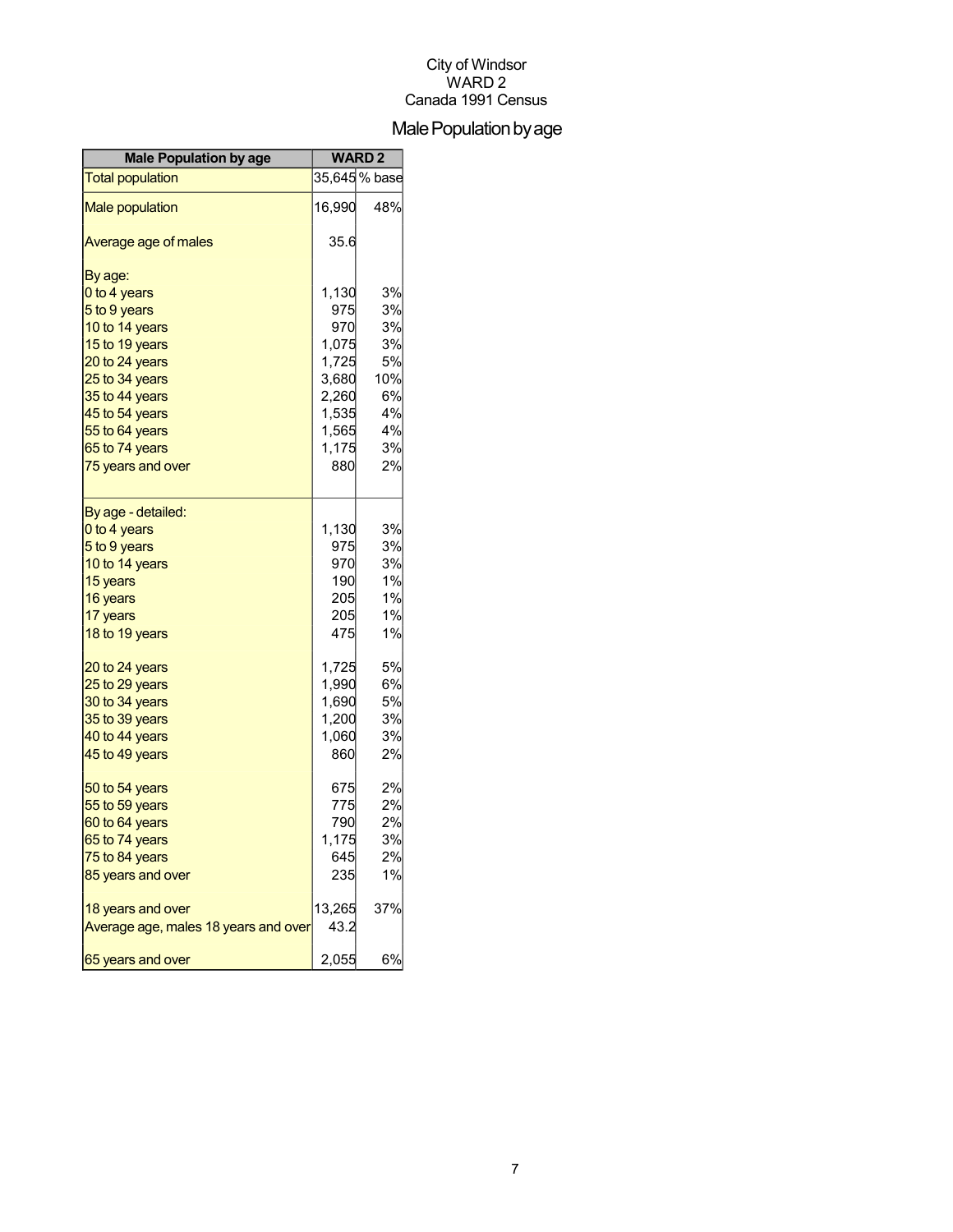## Male Population by age

| <b>Male Population by age</b>        | <b>WARD2</b> |               |
|--------------------------------------|--------------|---------------|
| <b>Total population</b>              |              | 35,645 % base |
| <b>Male population</b>               | 16,990       | 48%           |
| Average age of males                 | 35.6         |               |
| By age:                              |              |               |
| 0 to 4 years                         | 1,130        | 3%            |
| 5 to 9 years                         | 975          | 3%            |
| 10 to 14 years                       | 970          | 3%            |
| 15 to 19 years                       | 1,075        | 3%            |
| 20 to 24 years                       | 1,725        | 5%            |
| 25 to 34 years                       | 3,680        | 10%           |
| 35 to 44 years                       | 2,260        | 6%            |
| 45 to 54 years                       | 1,535        | 4%            |
| 55 to 64 years                       | 1,565        | 4%            |
| 65 to 74 years                       | 1,175        | 3%            |
| 75 years and over                    | 880          | 2%            |
| By age - detailed:                   |              |               |
| 0 to 4 years                         | 1,130        | 3%            |
| 5 to 9 years                         | 975          | 3%            |
| 10 to 14 years                       | 970          | 3%            |
| 15 years                             | 190          | 1%            |
| 16 years                             | 205          | 1%            |
| 17 years                             | 205          | 1%            |
| 18 to 19 years                       | 475          | 1%            |
| 20 to 24 years                       | 1,725        | 5%            |
| 25 to 29 years                       | 1,990        | 6%            |
| 30 to 34 years                       | 1,690        | 5%            |
| 35 to 39 years                       | 1,200        | 3%            |
| 40 to 44 years                       | 1,060        | 3%            |
| 45 to 49 years                       | 860          | 2%            |
| 50 to 54 years                       | 675          | 2%            |
| 55 to 59 years                       | 775          | 2%            |
| 60 to 64 years                       | 790          | 2%            |
| 65 to 74 years                       | 1,175        | 3%            |
| 75 to 84 years                       | 645          | 2%            |
| 85 years and over                    | 235          | 1%            |
| 18 years and over                    | 13,265       | 37%           |
| Average age, males 18 years and over | 43.2         |               |
| 65 years and over                    | 2,055        | 6%            |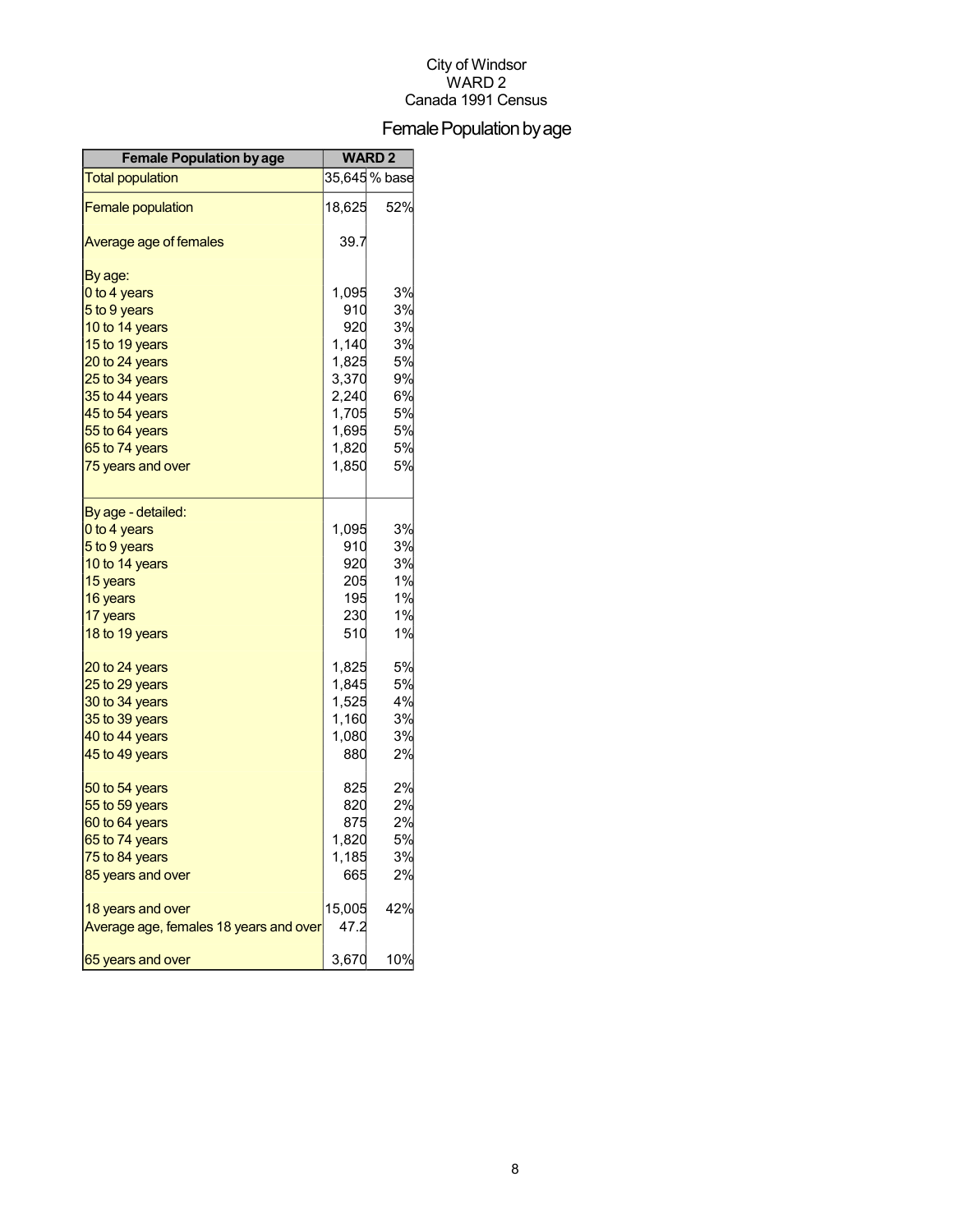## Female Population by age

| <b>Female Population by age</b>        | <b>WARD2</b> |               |
|----------------------------------------|--------------|---------------|
| <b>Total population</b>                |              | 35,645 % base |
| <b>Female population</b>               | 18,625       | 52%           |
| Average age of females                 | 39.7         |               |
| By age:                                |              |               |
| 0 to 4 years                           | 1,095        | 3%            |
| 5 to 9 years                           | 910          | 3%            |
| 10 to 14 years                         | 920          | 3%            |
| 15 to 19 years                         | 1,140        | 3%            |
| 20 to 24 years                         | 1,825        | 5%            |
| 25 to 34 years                         | 3,370        | 9%            |
| 35 to 44 years                         | 2,240        | 6%            |
| 45 to 54 years                         | 1,705        | 5%            |
| 55 to 64 years                         | 1,695        | 5%            |
| 65 to 74 years                         | 1,820        | 5%            |
| 75 years and over                      | 1,850        | 5%            |
| By age - detailed:                     |              |               |
| 0 to 4 years                           | 1,095        | 3%            |
| 5 to 9 years                           | 910          | 3%            |
| 10 to 14 years                         | 920          | 3%            |
| 15 years                               | 205          | 1%            |
| 16 years                               | 195          | 1%            |
| 17 years                               | 230          | 1%            |
| 18 to 19 years                         | 510          | 1%            |
| 20 to 24 years                         | 1,825        | 5%            |
| 25 to 29 years                         | 1,845        | 5%            |
| 30 to 34 years                         | 1,525        | 4%            |
| 35 to 39 years                         | 1,160        | 3%            |
| 40 to 44 years                         | 1,080        | 3%            |
| 45 to 49 years                         | 880          | 2%            |
| 50 to 54 years                         | 825          | 2%            |
| 55 to 59 years                         | 820          | 2%            |
| 60 to 64 years                         | 875          | 2%            |
| 65 to 74 years                         | 1,820        | 5%            |
| 75 to 84 years                         | 1,185        | 3%            |
| 85 years and over                      | 665          | 2%            |
| 18 years and over                      | 15,005       | 42%           |
| Average age, females 18 years and over | 47.2         |               |
| 65 years and over                      | 3,670        | 10%           |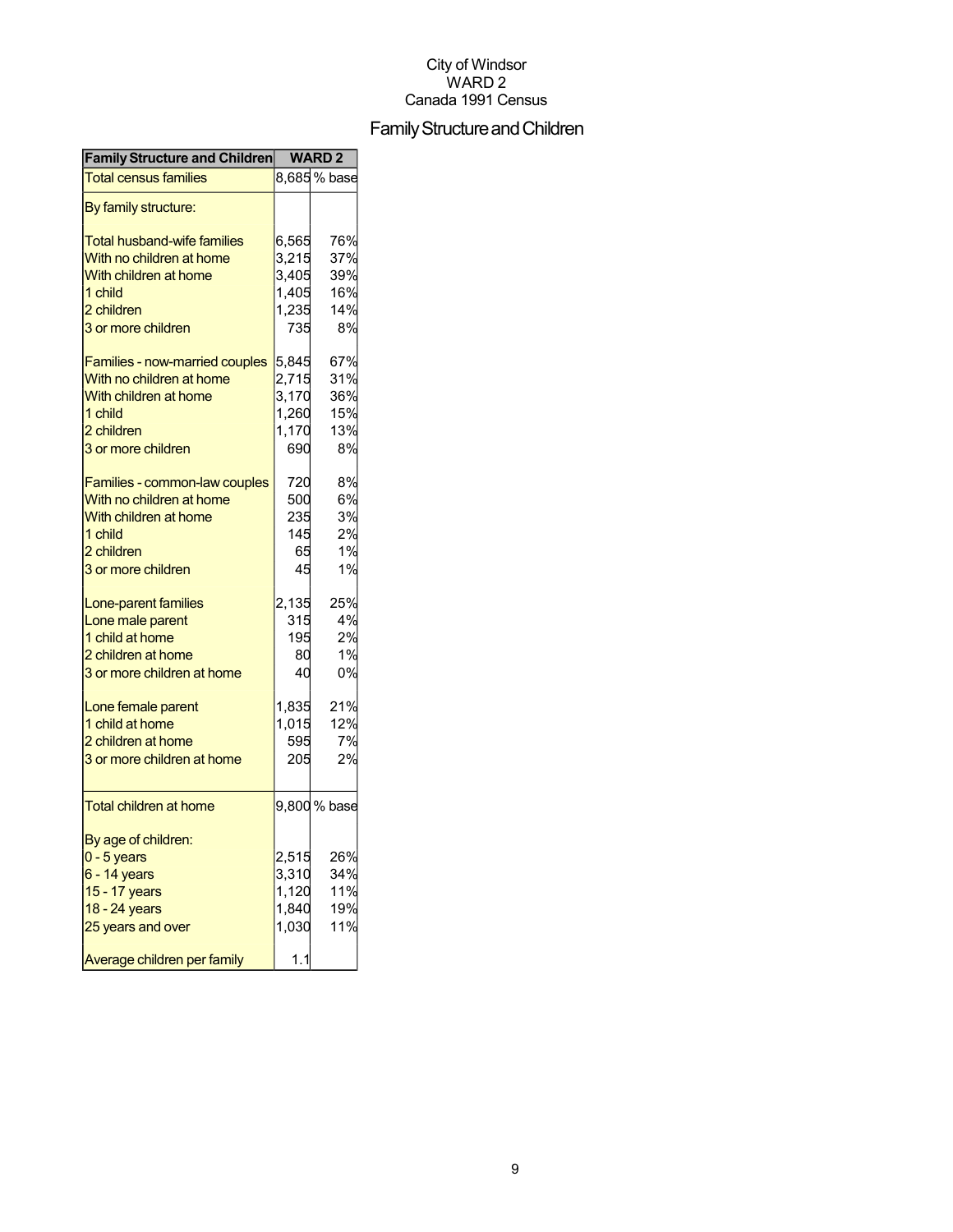## Family Structure and Children

| <b>Family Structure and Children</b> | <b>WARD2</b> |              |
|--------------------------------------|--------------|--------------|
| <b>Total census families</b>         |              | 8,685 % base |
| By family structure:                 |              |              |
| <b>Total husband-wife families</b>   | 6,565        | 76%          |
| With no children at home             | 3,215        | 37%          |
| With children at home                | 3,405        | 39%          |
| 1 child                              | 1,405        | 16%          |
| 2 children                           | 1,235        | 14%          |
| 3 or more children                   | 735          | 8%           |
|                                      |              |              |
| Families - now-married couples       | 5,845        | 67%          |
| With no children at home             | 2,715        | 31%          |
| With children at home                | 3,170        | 36%          |
| 1 child                              | 1,260        | 15%          |
| 2 children                           | 1,170        | 13%          |
| 3 or more children                   | 690          | 8%           |
|                                      |              |              |
| Families - common-law couples        | 720          | 8%           |
| With no children at home             | 500          | 6%           |
| With children at home                | 235          | 3%           |
| 1 child                              | 145          | 2%           |
| 2 children                           | 65           | 1%           |
| 3 or more children                   | 45           | 1%           |
| Lone-parent families                 | 2,135        | 25%          |
| Lone male parent                     | 315          | 4%           |
| 1 child at home                      | 195          | 2%           |
| 2 children at home                   | 80           | 1%           |
| 3 or more children at home           | 40           | 0%           |
|                                      |              |              |
| Lone female parent                   | 1,835        | 21%          |
| 1 child at home                      | 1,015        | 12%          |
| 2 children at home                   | 595          | 7%           |
| 3 or more children at home           | 205          | 2%           |
| <b>Total children at home</b>        |              | 9,800 % base |
|                                      |              |              |
| By age of children:                  |              |              |
| $0 - 5$ years                        | 2,515        | 26%          |
| 6 - 14 years                         | 3,310        | 34%          |
| 15 - 17 years                        | 1,120        | 11%          |
| 18 - 24 years                        | 1,840        | 19%          |
| 25 years and over                    | 1,030        | 11%          |
| Average children per family          | 1.1          |              |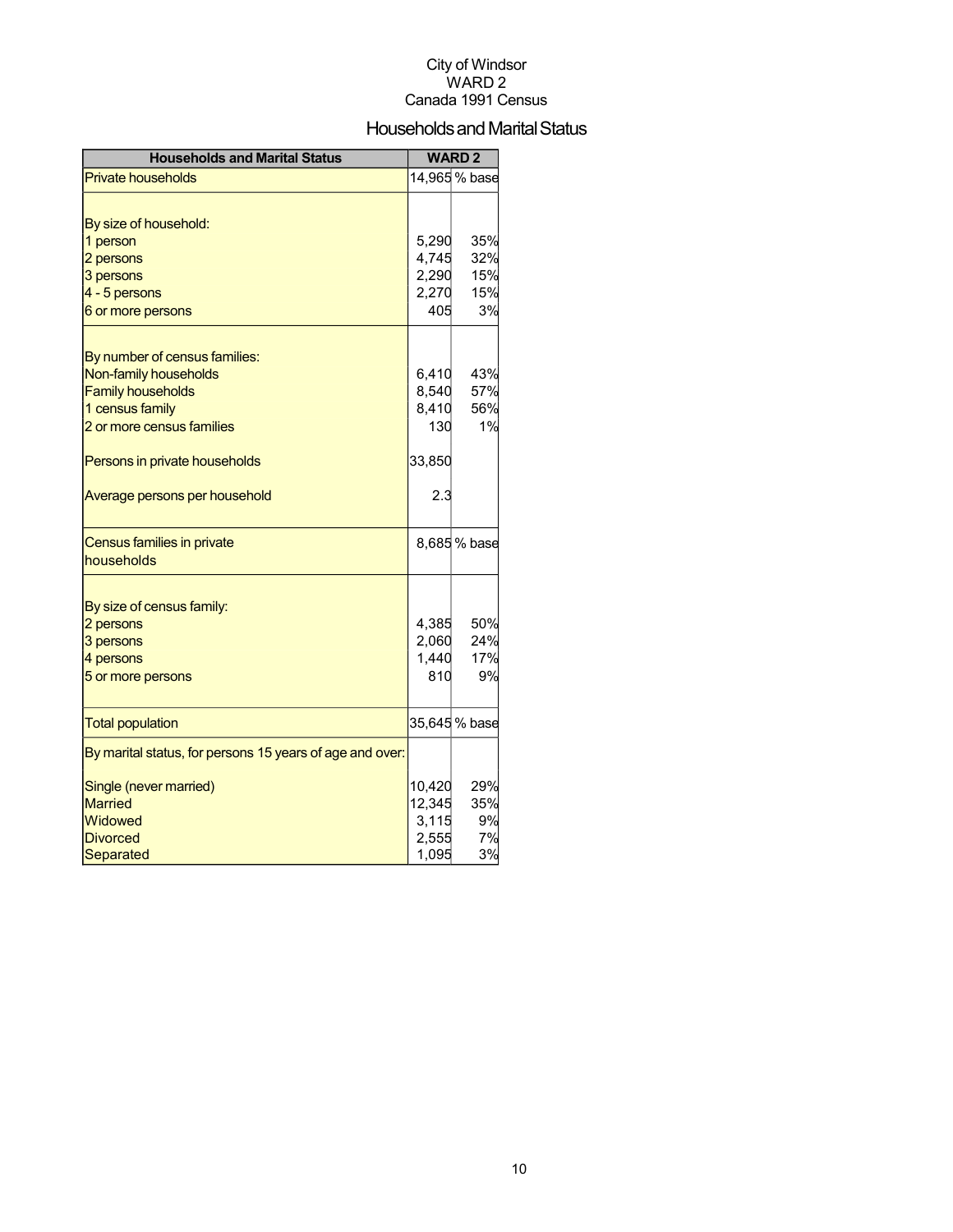### Households and Marital Status

| <b>Households and Marital Status</b>                     |              | <b>WARD2</b>  |
|----------------------------------------------------------|--------------|---------------|
| <b>Private households</b>                                |              | 14,965 % base |
|                                                          |              |               |
| By size of household:                                    |              |               |
| 1 person                                                 | 5,290        | 35%           |
| 2 persons                                                | 4,745        | 32%           |
| 3 persons                                                | 2,290        | 15%           |
| 4 - 5 persons                                            | 2,270        | 15%           |
| 6 or more persons                                        | 405          | 3%            |
|                                                          |              |               |
| By number of census families:                            |              | 43%           |
| Non-family households                                    | 6,410        | 57%           |
| <b>Family households</b>                                 | 8,540        | 56%           |
| 1 census family<br>2 or more census families             | 8,410<br>130 | 1%            |
|                                                          |              |               |
| Persons in private households                            | 33,850       |               |
| Average persons per household                            | 2.3          |               |
| Census families in private                               |              | 8,685 % base  |
| households                                               |              |               |
| By size of census family:                                |              |               |
| 2 persons                                                | 4,385        | 50%           |
| 3 persons                                                | 2,060        | 24%           |
| 4 persons                                                | 1,440        | 17%           |
| 5 or more persons                                        | 810          | 9%            |
|                                                          |              |               |
| <b>Total population</b>                                  |              | 35,645 % base |
| By marital status, for persons 15 years of age and over: |              |               |
| Single (never married)                                   | 10,420       | 29%           |
| <b>Married</b>                                           | 12,345       | 35%           |
| Widowed                                                  | 3,115        | 9%            |
| <b>Divorced</b>                                          | 2,555        | 7%            |
| Separated                                                | 1,095        | 3%            |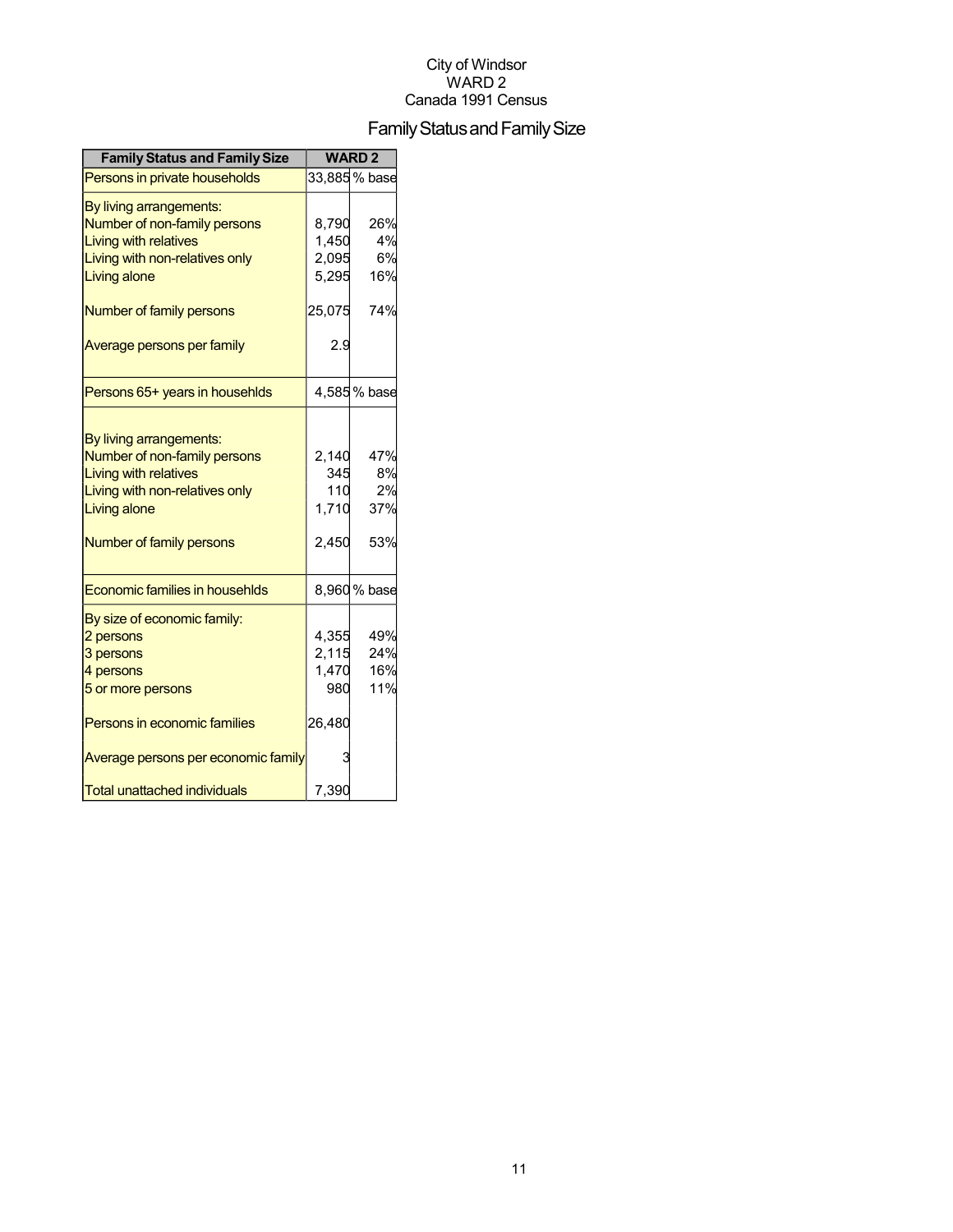## Family Status and Family Size

| <b>Family Status and Family Size</b> |        | <b>WARD2</b>  |
|--------------------------------------|--------|---------------|
| Persons in private households        |        | 33,885 % base |
| By living arrangements:              |        |               |
| Number of non-family persons         | 8,790  | 26%           |
| Living with relatives                | 1,450  | 4%            |
| Living with non-relatives only       | 2,095  | 6%            |
| <b>Living alone</b>                  | 5,295  | 16%           |
| Number of family persons             | 25,075 | 74%           |
| Average persons per family           | 2.9    |               |
| Persons 65+ years in househlds       |        | 4,585% base   |
|                                      |        |               |
| By living arrangements:              |        |               |
| Number of non-family persons         | 2,140  | 47%           |
| <b>Living with relatives</b>         | 345    | 8%            |
| Living with non-relatives only       | 110    | 2%            |
| Living alone                         | 1,710  | 37%           |
| Number of family persons             | 2,450  | 53%           |
| Economic families in househlds       |        | 8,960 % base  |
| By size of economic family:          |        |               |
| 2 persons                            | 4,355  | 49%           |
| 3 persons                            | 2,115  | 24%           |
| 4 persons                            | 1,470  | 16%           |
| 5 or more persons                    | 980    | 11%           |
| Persons in economic families         | 26,480 |               |
| Average persons per economic family  | 3      |               |
| Total unattached individuals         | 7,390  |               |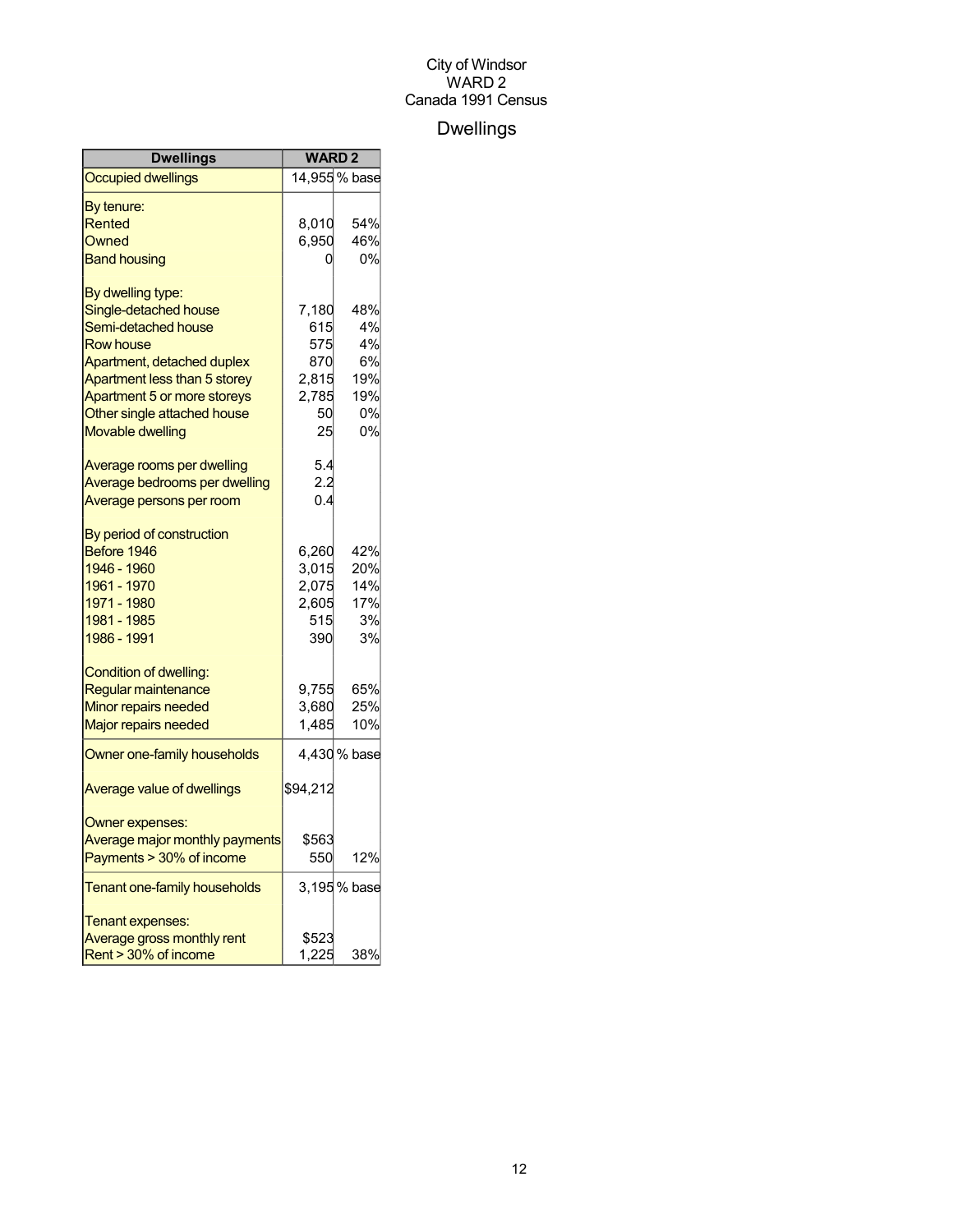## Dwellings

| Dwellings                         | <b>WARD2</b> |               |
|-----------------------------------|--------------|---------------|
| <b>Occupied dwellings</b>         |              | 14,955 % base |
| By tenure:                        |              |               |
| Rented                            | 8,010        | 54%           |
| Owned                             | 6,950        | 46%           |
| <b>Band housing</b>               | 0            | 0%            |
| By dwelling type:                 |              |               |
| Single-detached house             | 7,180        | 48%           |
| Semi-detached house               | 615          | 4%            |
| <b>Row house</b>                  | 575          | 4%            |
| Apartment, detached duplex        | 870          | 6%            |
| Apartment less than 5 storey      | 2,815        | 19%           |
| Apartment 5 or more storeys       | 2,785        | 19%           |
| Other single attached house       | 50           | 0%            |
| <b>Movable dwelling</b>           | 25           | 0%            |
| Average rooms per dwelling        | 5.4          |               |
| Average bedrooms per dwelling     | 2.2          |               |
| Average persons per room          | 0.4          |               |
| By period of construction         |              |               |
| Before 1946                       | 6,260        | 42%           |
| 1946 - 1960                       | 3,015        | 20%           |
| 1961 - 1970                       | 2,075        | 14%           |
| 1971 - 1980                       | 2,605        | 17%           |
| 1981 - 1985                       | 515          | 3%            |
| 1986 - 1991                       | 390          | 3%            |
| Condition of dwelling:            |              |               |
| Regular maintenance               | 9,755        | 65%           |
| Minor repairs needed              | 3,680        | 25%           |
| <b>Major repairs needed</b>       | 1.485        | 10%           |
| Owner one-family households       |              | 4,430 % base  |
| <b>Average value of dwellings</b> | \$94,212     |               |
| Owner expenses:                   |              |               |
| Average major monthly payments    | \$563        |               |
| Payments > 30% of income          | 550          | 12%           |
| Tenant one-family households      |              | 3,195 % base  |
| Tenant expenses:                  |              |               |
| Average gross monthly rent        | \$523        |               |
| Rent > 30% of income              | 1,225        | 38%           |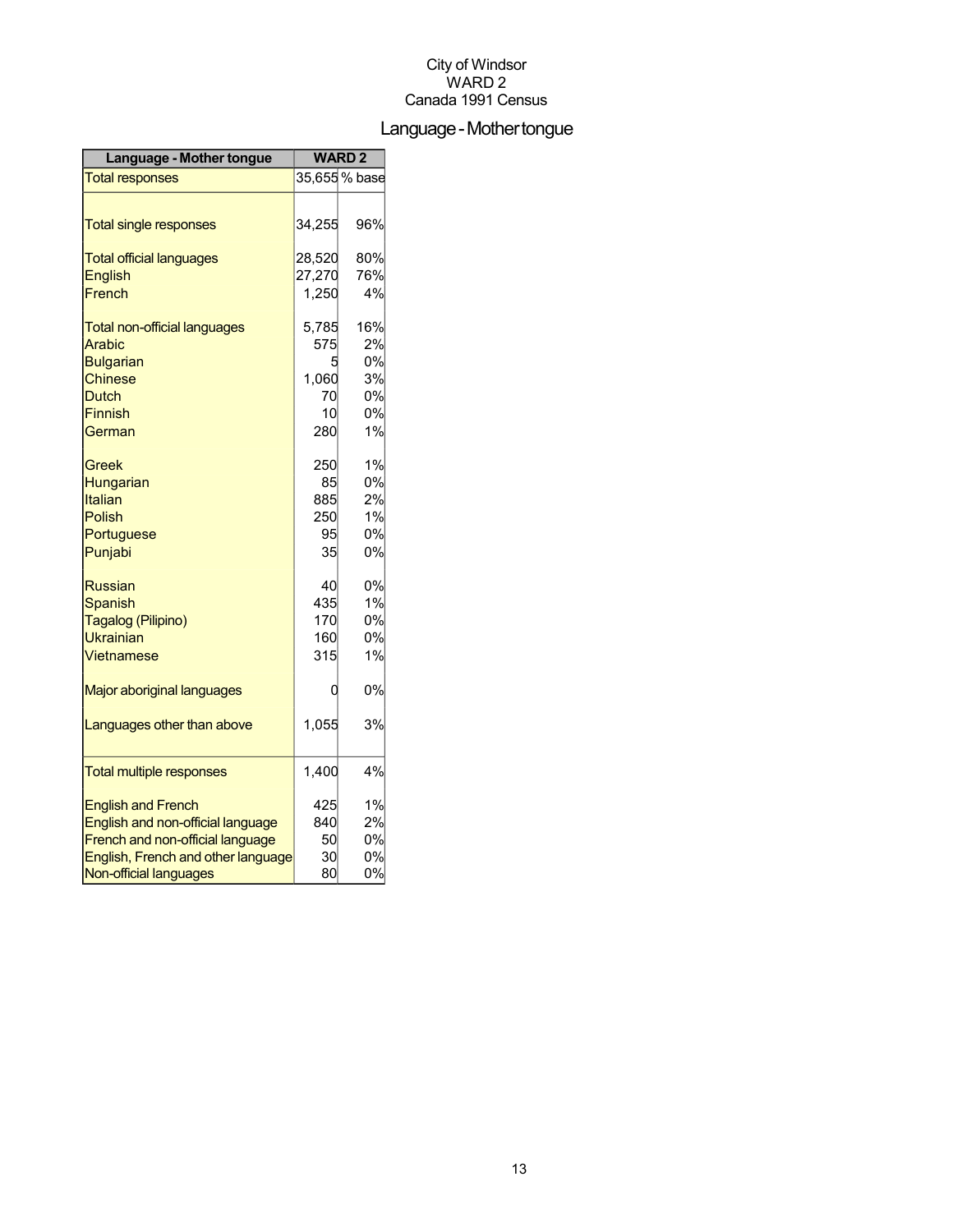## Language-Mothertongue

| Language - Mother tongue            | <b>WARD2</b> |               |
|-------------------------------------|--------------|---------------|
| <b>Total responses</b>              |              | 35,655 % base |
|                                     |              |               |
| <b>Total single responses</b>       | 34,255       | 96%           |
| <b>Total official languages</b>     | 28,520       | 80%           |
| <b>English</b>                      | 27,270       | 76%           |
| French                              | 1,250        | 4%            |
| <b>Total non-official languages</b> | 5,785        | 16%           |
| Arabic                              | 575          | 2%            |
| <b>Bulgarian</b>                    | 5            | 0%            |
| <b>Chinese</b>                      | 1,060        | 3%            |
| <b>Dutch</b>                        | 70           | 0%            |
| <b>Finnish</b>                      | 10           | 0%            |
| German                              | 280          | 1%            |
| Greek                               | 250          | 1%            |
| Hungarian                           | 85           | 0%            |
| Italian                             | 885          | 2%            |
| <b>Polish</b>                       | 250          | 1%            |
| Portuguese                          | 95           | 0%            |
| Punjabi                             | 35           | 0%            |
| Russian                             | 40           | 0%            |
| <b>Spanish</b>                      | 435          | 1%            |
| Tagalog (Pilipino)                  | 170          | 0%            |
| <b>Ukrainian</b>                    | 160          | 0%            |
| Vietnamese                          | 315          | 1%            |
| Major aboriginal languages          | 0            | 0%            |
| Languages other than above          | 1,055        | 3%            |
|                                     |              |               |
| <b>Total multiple responses</b>     | 1,400        | 4%            |
| <b>English and French</b>           | 425          | 1%            |
| English and non-official language   | 840          | 2%            |
| French and non-official language    | 50           | 0%            |
| English, French and other language  | 30           | 0%            |
| Non-official languages              | 80           | 0%            |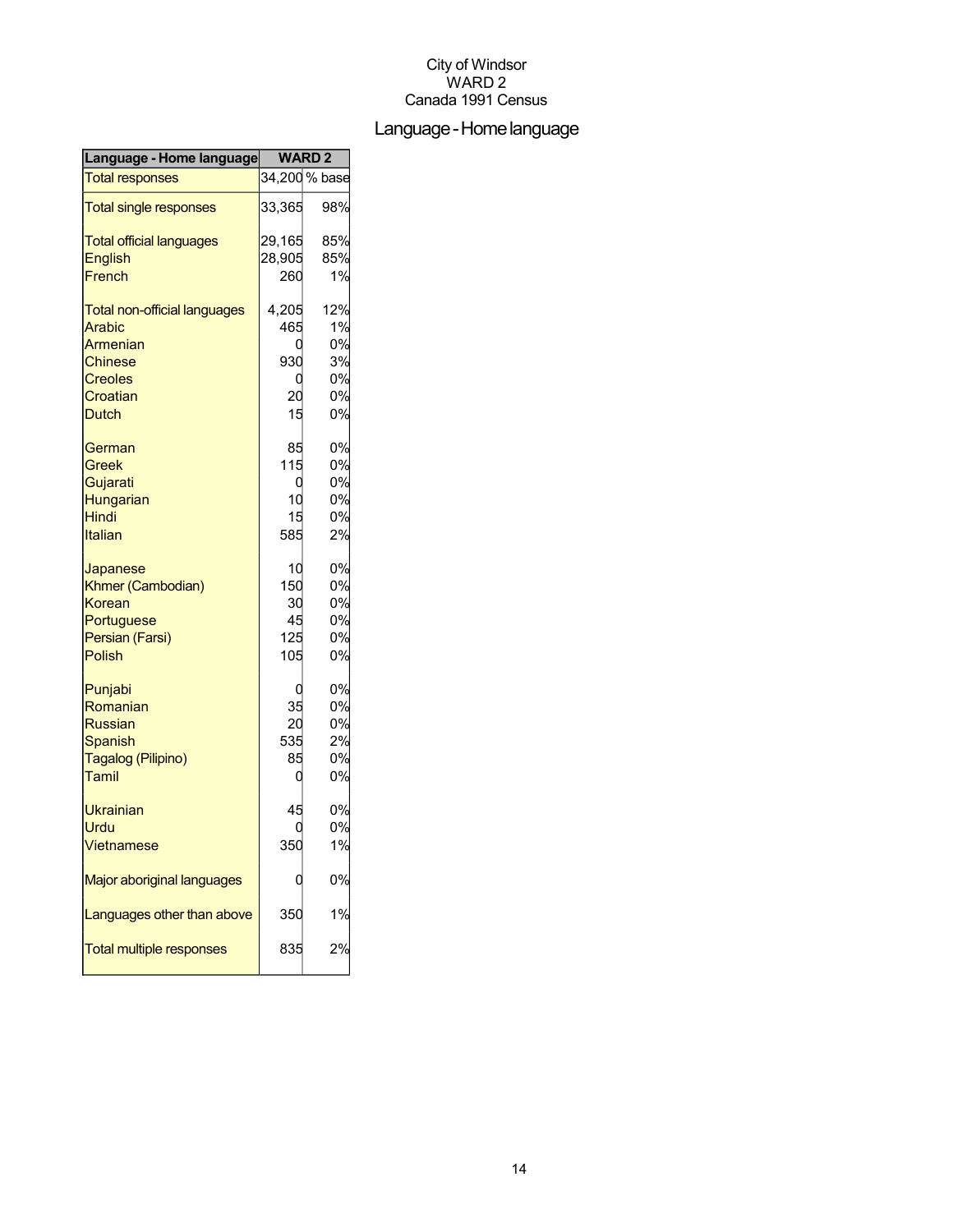## Language-Homelanguage

| Language - Home language            | <b>WARD2</b> |               |
|-------------------------------------|--------------|---------------|
| <b>Total responses</b>              |              | 34,200 % base |
| <b>Total single responses</b>       | 33,365       | 98%           |
| <b>Total official languages</b>     | 29,165       | 85%           |
| <b>English</b>                      | 28,905       | 85%           |
| French                              | 260          | 1%            |
| <b>Total non-official languages</b> | 4,205        | 12%           |
| <b>Arabic</b>                       | 465          | 1%            |
| Armenian                            | C            | 0%            |
| <b>Chinese</b>                      | 930          | 3%            |
| <b>Creoles</b>                      | C            | 0%            |
| Croatian                            | 20           | 0%            |
| <b>Dutch</b>                        | 15           | 0%            |
| German                              | 85           | 0%            |
| Greek                               | 115          | 0%            |
| Gujarati                            | 0            | 0%            |
| Hungarian                           | 10           | 0%            |
| Hindi                               | 15           | 0%            |
| Italian                             | 585          | 2%            |
| Japanese                            | 10           | 0%            |
| Khmer (Cambodian)                   | 150          | 0%            |
| Korean                              | 30           | 0%            |
| Portuguese                          | 45           | 0%            |
| Persian (Farsi)                     | 125          | 0%            |
| Polish                              | 105          | 0%            |
| Punjabi                             | C            | 0%            |
| Romanian                            | 35           | 0%            |
| <b>Russian</b>                      | 20           | 0%            |
| Spanish                             | 535          | 2%            |
| Tagalog (Pilipino)                  | 85           | 0%            |
| Tamil                               | 0            | 0%            |
| <b>Ukrainian</b>                    | 45           | 0%            |
| Urdu                                |              | 0%            |
| Vietnamese                          | 350          | 1%            |
| Major aboriginal languages          |              | 0%            |
| Languages other than above          | 350          | 1%            |
| <b>Total multiple responses</b>     | 835          | 2%            |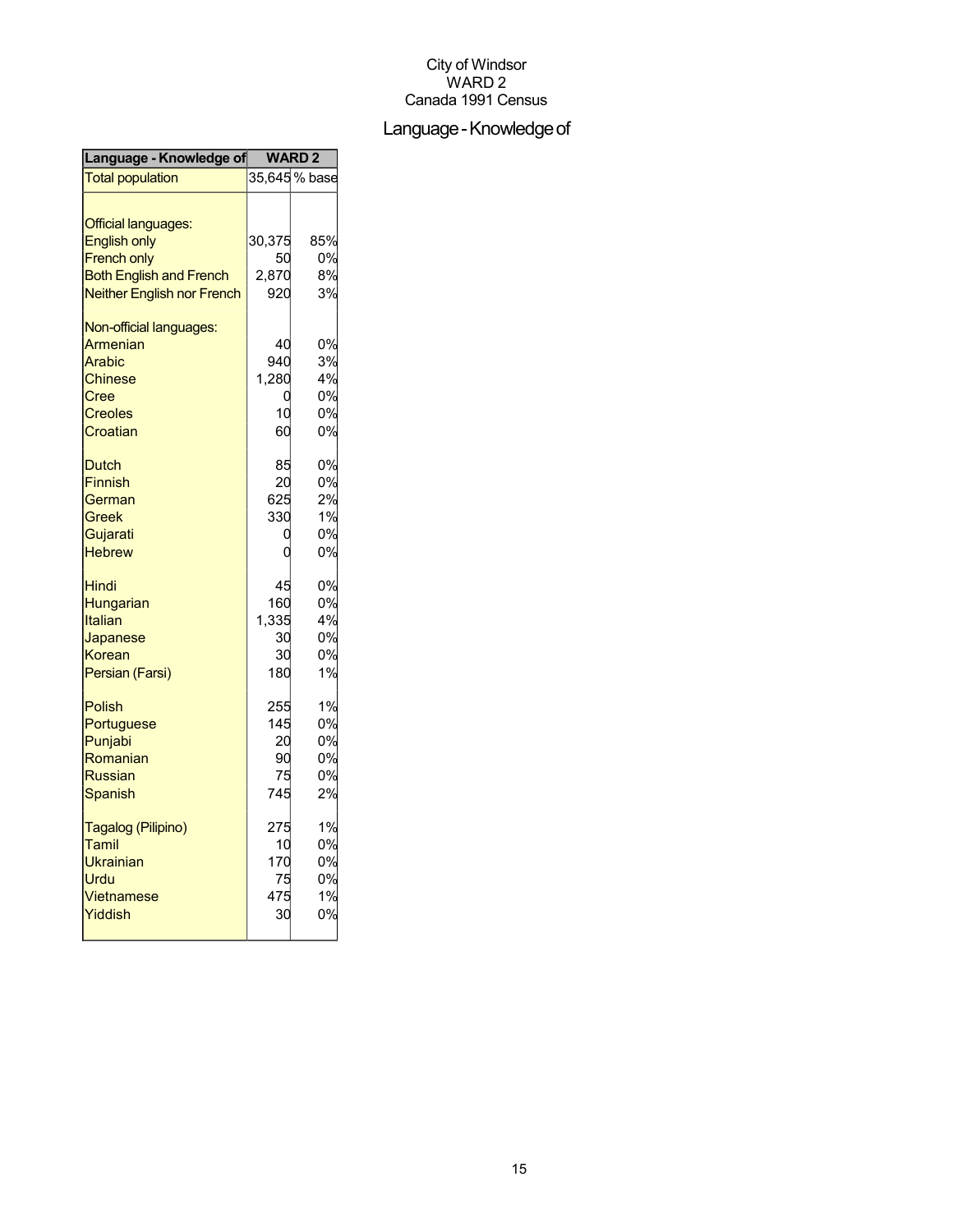## Language - Knowledge of

| Language - Knowledge of                                                                                                                        | <b>WARD2</b>                          |                                  |
|------------------------------------------------------------------------------------------------------------------------------------------------|---------------------------------------|----------------------------------|
| <b>Total population</b>                                                                                                                        |                                       | 35,645 % base                    |
| <b>Official languages:</b><br><b>English only</b><br><b>French only</b><br><b>Both English and French</b><br><b>Neither English nor French</b> | 30,375<br>50<br>2,870<br>920          | 85%<br>0%<br>8%<br>3%            |
| Non-official languages:<br>Armenian<br>Arabic<br><b>Chinese</b><br>Cree<br><b>Creoles</b><br>Croatian                                          | 40<br>940<br>1,280<br>C<br>10<br>60   | 0%<br>3%<br>4%<br>0%<br>0%<br>0% |
| <b>Dutch</b><br><b>Finnish</b><br>German<br>Greek<br>Gujarati<br><b>Hebrew</b>                                                                 | 85<br>20<br>625<br>330                | 0%<br>0%<br>2%<br>1%<br>0%<br>0% |
| Hindi<br>Hungarian<br><b>Italian</b><br>Japanese<br>Korean<br>Persian (Farsi)                                                                  | 45<br>160<br>1,335<br>30<br>30<br>180 | 0%<br>0%<br>4%<br>0%<br>0%<br>1% |
| <b>Polish</b><br>Portuguese<br>Punjabi<br>Romanian<br><b>Russian</b><br>Spanish                                                                | 255<br>145<br>20<br>90<br>75<br>745   | 1%<br>0%<br>0%<br>0%<br>0%<br>2% |
| Tagalog (Pilipino)<br>Tamil<br>Ukrainian<br>Urdu<br><b>Vietnamese</b><br>Yiddish                                                               | 275<br>10<br>170<br>75<br>475<br>30   | 1%<br>0%<br>0%<br>0%<br>1%<br>0% |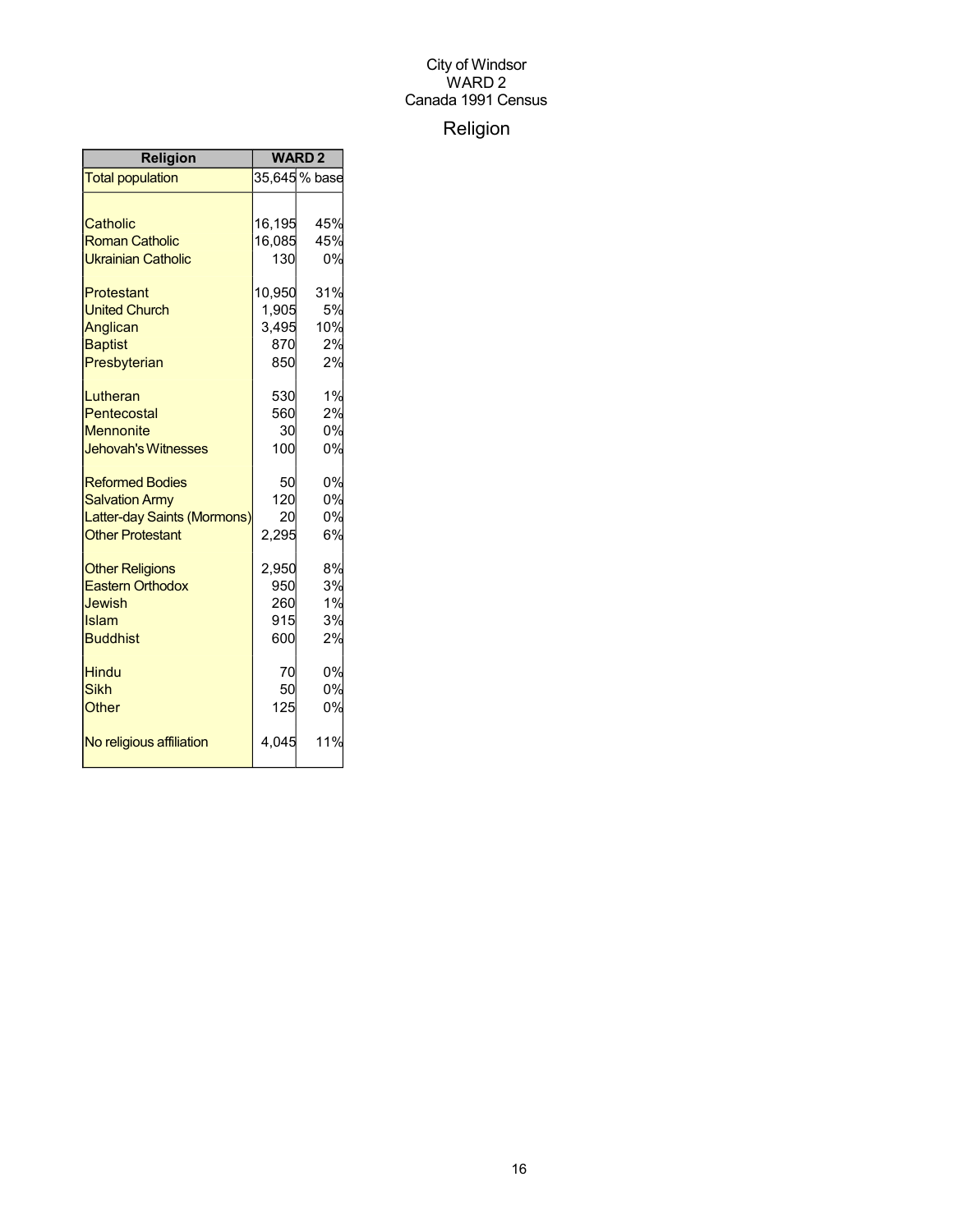## Religion

| <b>Religion</b>             | <b>WARD2</b> |               |
|-----------------------------|--------------|---------------|
| <b>Total population</b>     |              | 35,645 % base |
|                             |              |               |
| Catholic                    | 16,195       | 45%           |
| <b>Roman Catholic</b>       | 16,085       | 45%           |
| <b>Ukrainian Catholic</b>   | 130          | 0%            |
| Protestant                  | 10,950       | 31%           |
| <b>United Church</b>        | 1,905        | 5%            |
| Anglican                    | 3,495        | 10%           |
| <b>Baptist</b>              | 870          | 2%            |
| Presbyterian                | 850          | 2%            |
| Lutheran                    | 530          | 1%            |
| Pentecostal                 | 560          | 2%            |
| <b>Mennonite</b>            | 30           | 0%            |
| <b>Jehovah's Witnesses</b>  | 100          | 0%            |
| <b>Reformed Bodies</b>      | 50           | 0%            |
| <b>Salvation Army</b>       | 120          | 0%            |
| Latter-day Saints (Mormons) | 20           | 0%            |
| <b>Other Protestant</b>     | 2,295        | 6%            |
| <b>Other Religions</b>      | 2,950        | 8%            |
| <b>Eastern Orthodox</b>     | 950          | 3%            |
| <b>Jewish</b>               | 260          | 1%            |
| Islam                       | 915          | 3%            |
| <b>Buddhist</b>             | 600          | 2%            |
| <b>Hindu</b>                | 70           | 0%            |
| <b>Sikh</b>                 | 50           | 0%            |
| Other                       | 125          | 0%            |
| No religious affiliation    | 4,045        | 11%           |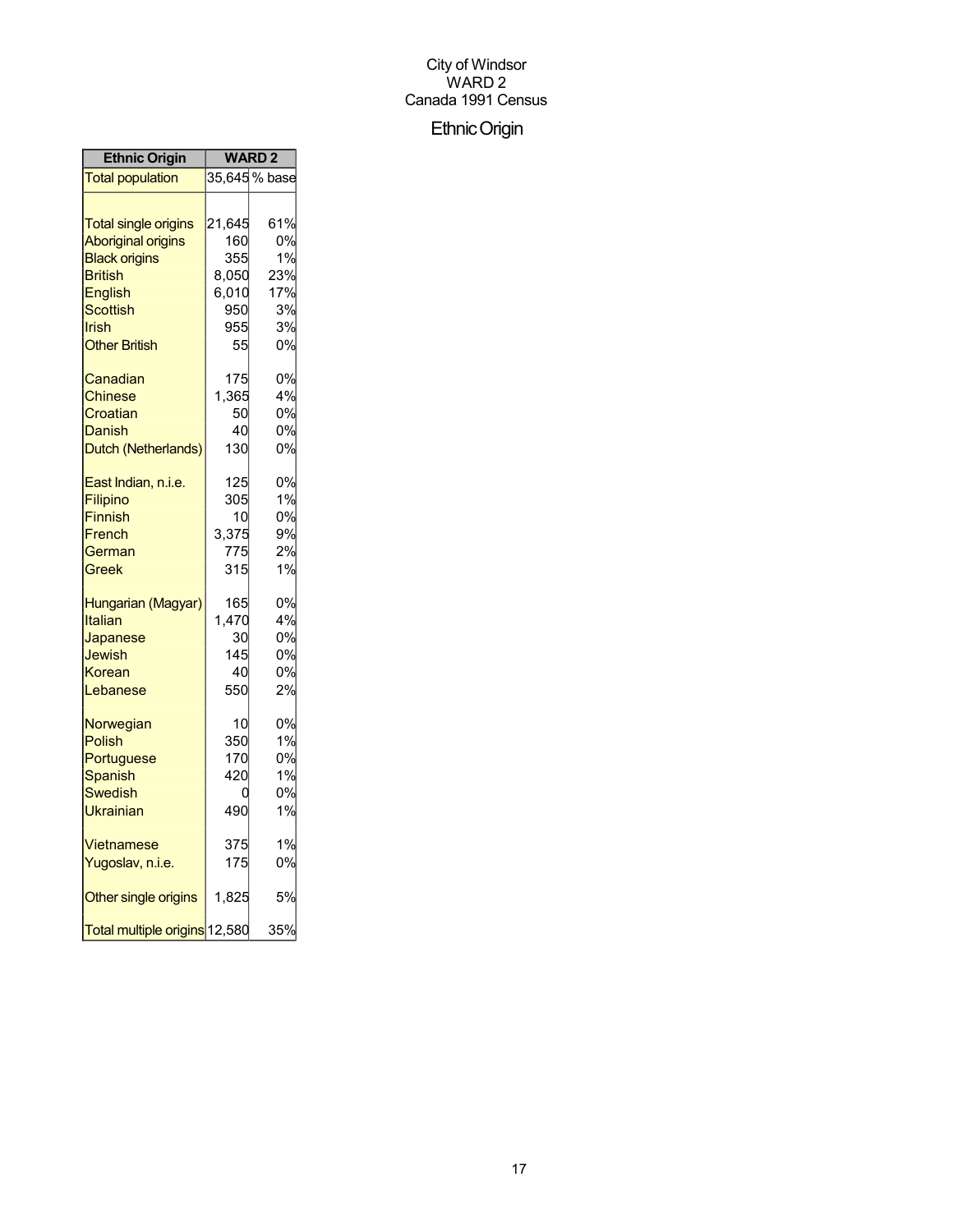## EthnicOrigin

| <b>Ethnic Origin</b>          | <b>WARD 2</b> |               |
|-------------------------------|---------------|---------------|
| <b>Total population</b>       |               | 35,645 % base |
|                               |               |               |
| <b>Total single origins</b>   | 21,645        | 61%           |
| <b>Aboriginal origins</b>     | 160           | 0%            |
| <b>Black origins</b>          | 355           | 1%            |
| <b>British</b>                | 8,050         | 23%           |
| <b>English</b>                | 6,010         | 17%           |
| <b>Scottish</b>               | 950           | 3%            |
| Irish                         | 955           | 3%            |
| <b>Other British</b>          | 55            | 0%            |
| Canadian                      | 175           | 0%            |
| Chinese                       | 1,365         | 4%            |
| Croatian                      | 50            | 0%            |
| Danish                        | 40            | 0%            |
| Dutch (Netherlands)           | 130           | 0%            |
| East Indian, n.i.e.           | 125           | 0%            |
| Filipino                      | 305           | 1%            |
| Finnish                       | 10            | 0%            |
| French                        | 3,375         | 9%            |
| German                        | 775           | 2%            |
| Greek                         | 315           | 1%            |
| Hungarian (Magyar)            | 165           | 0%            |
| Italian                       | 1,470         | 4%            |
| Japanese                      | 30            | 0%            |
| Jewish                        | 145           | 0%            |
| Korean                        | 40            | 0%            |
| Lebanese                      | 550           | 2%            |
| Norwegian                     | 10            | 0%            |
| Polish                        | 350           | 1%            |
| Portuguese                    | 170           | 0%            |
| <b>Spanish</b>                | 420           | 1%            |
| Swedish                       |               | 0%            |
| Ukrainian                     | 490           | 1%            |
| Vietnamese                    | 375           | 1%            |
| Yugoslav, n.i.e.              | 175           | 0%            |
| Other single origins          | 1,825         | 5%            |
| Total multiple origins 12,580 |               | 35%           |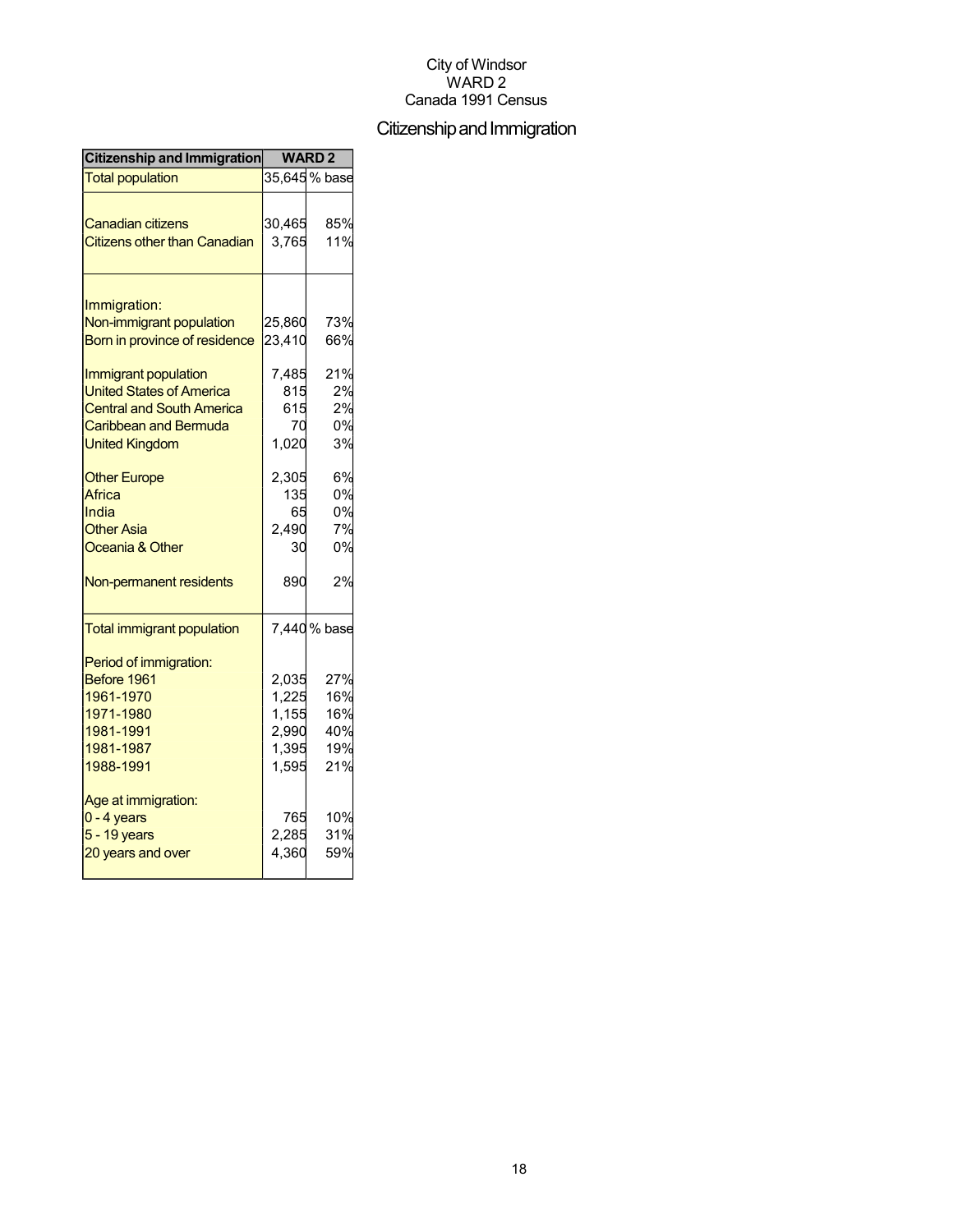## Citizenship and Immigration

| Citizenship and Immigration                                     | <b>WARD2</b>    |               |
|-----------------------------------------------------------------|-----------------|---------------|
| <b>Total population</b>                                         |                 | 35,645 % base |
| <b>Canadian citizens</b><br><b>Citizens other than Canadian</b> | 30,465<br>3,765 | 85%<br>11%    |
|                                                                 |                 |               |
| Immigration:                                                    |                 |               |
| Non-immigrant population                                        | 25,860          | 73%           |
| Born in province of residence                                   | 23,410          | 66%           |
| Immigrant population                                            | 7,485           | 21%           |
| <b>United States of America</b>                                 | 815             | 2%            |
| <b>Central and South America</b>                                | 615             | 2%            |
| Caribbean and Bermuda                                           | 70              | 0%            |
| <b>United Kingdom</b>                                           | 1,020           | 3%            |
| <b>Other Europe</b>                                             | 2,305           | 6%            |
| Africa                                                          | 135             | 0%            |
| India                                                           | 65              | 0%            |
| <b>Other Asia</b>                                               | 2,490           | 7%            |
| Oceania & Other                                                 | 30              | 0%            |
| Non-permanent residents                                         | 890             | 2%            |
| <b>Total immigrant population</b>                               |                 | 7,440 % base  |
| Period of immigration:                                          |                 |               |
| Before 1961                                                     | 2,035           | 27%           |
| 1961-1970                                                       | 1,225           | 16%           |
| 1971-1980                                                       | 1,155           | 16%           |
| 1981-1991                                                       | 2,990           | 40%           |
| 1981-1987                                                       | 1,395           | 19%           |
| 1988-1991                                                       | 1,595           | 21%           |
| Age at immigration:                                             |                 |               |
| $0 - 4$ years                                                   | 765             | 10%           |
| 5 - 19 years                                                    | 2,285           | 31%           |
| 20 years and over                                               | 4,360           | 59%           |
|                                                                 |                 |               |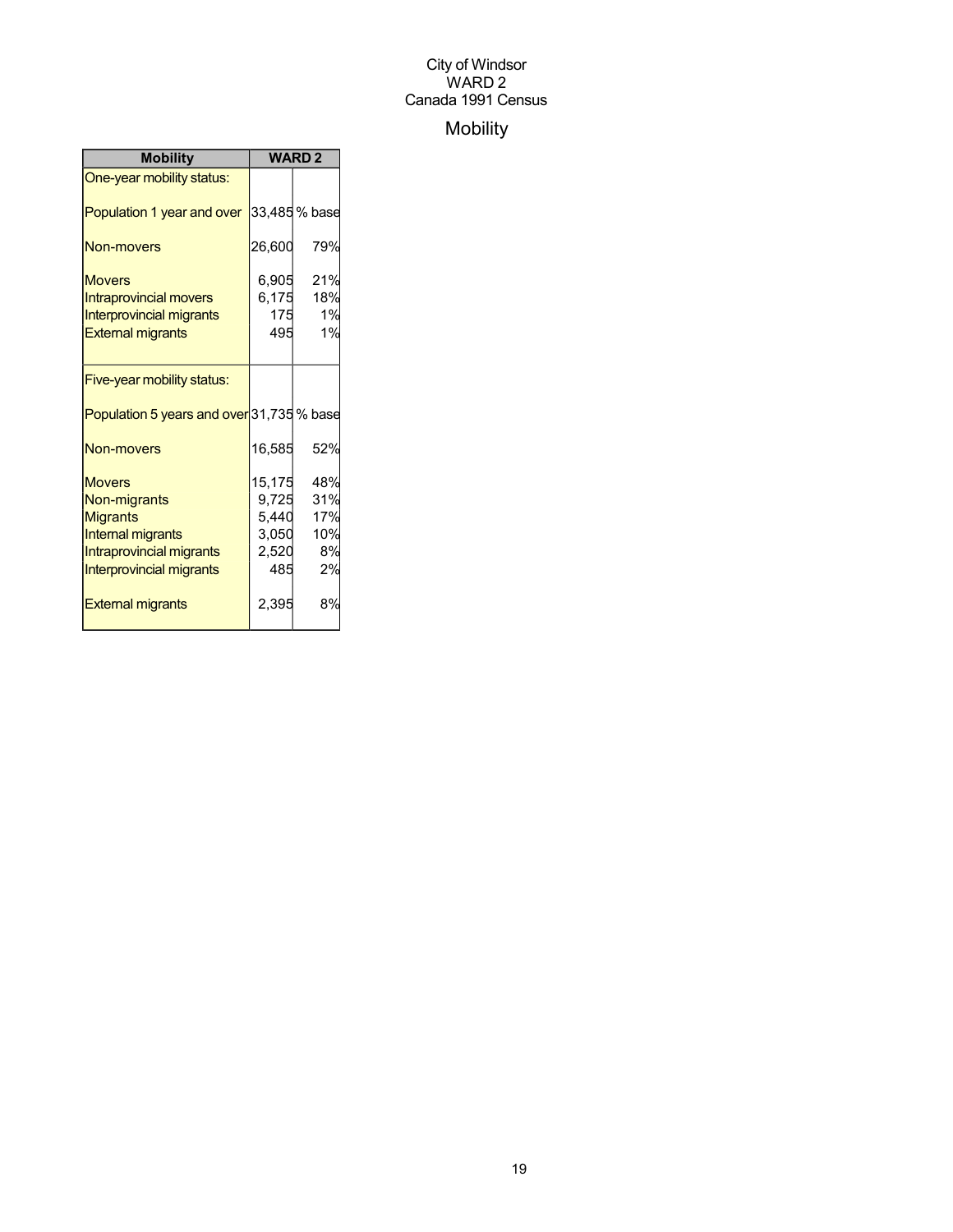## Mobility

| <b>Mobility</b>                           | <b>WARD2</b> |               |  |
|-------------------------------------------|--------------|---------------|--|
| One-year mobility status:                 |              |               |  |
| Population 1 year and over                |              | 33,485 % base |  |
| <b>Non-movers</b>                         | 26,600       | 79%           |  |
| <b>Movers</b>                             | 6,905        | 21%           |  |
| <b>Intraprovincial movers</b>             | 6,175        | 18%           |  |
| <b>Interprovincial migrants</b>           | 175          | 1%            |  |
| <b>External migrants</b>                  | 495          | 1%            |  |
|                                           |              |               |  |
| Five-year mobility status:                |              |               |  |
| Population 5 years and over 31,735 % base |              |               |  |
| Non-movers                                | 16,585       | 52%           |  |
| <b>Movers</b>                             | 15,175       | 48%           |  |
| Non-migrants                              | 9,725        | 31%           |  |
| <b>Migrants</b>                           | 5,440        | 17%           |  |
| <b>Internal migrants</b>                  | 3,050        | 10%           |  |
| Intraprovincial migrants                  | 2,520        | 8%            |  |
| Interprovincial migrants                  | 485          | 2%            |  |
| <b>External migrants</b>                  | 2,395        | 8%            |  |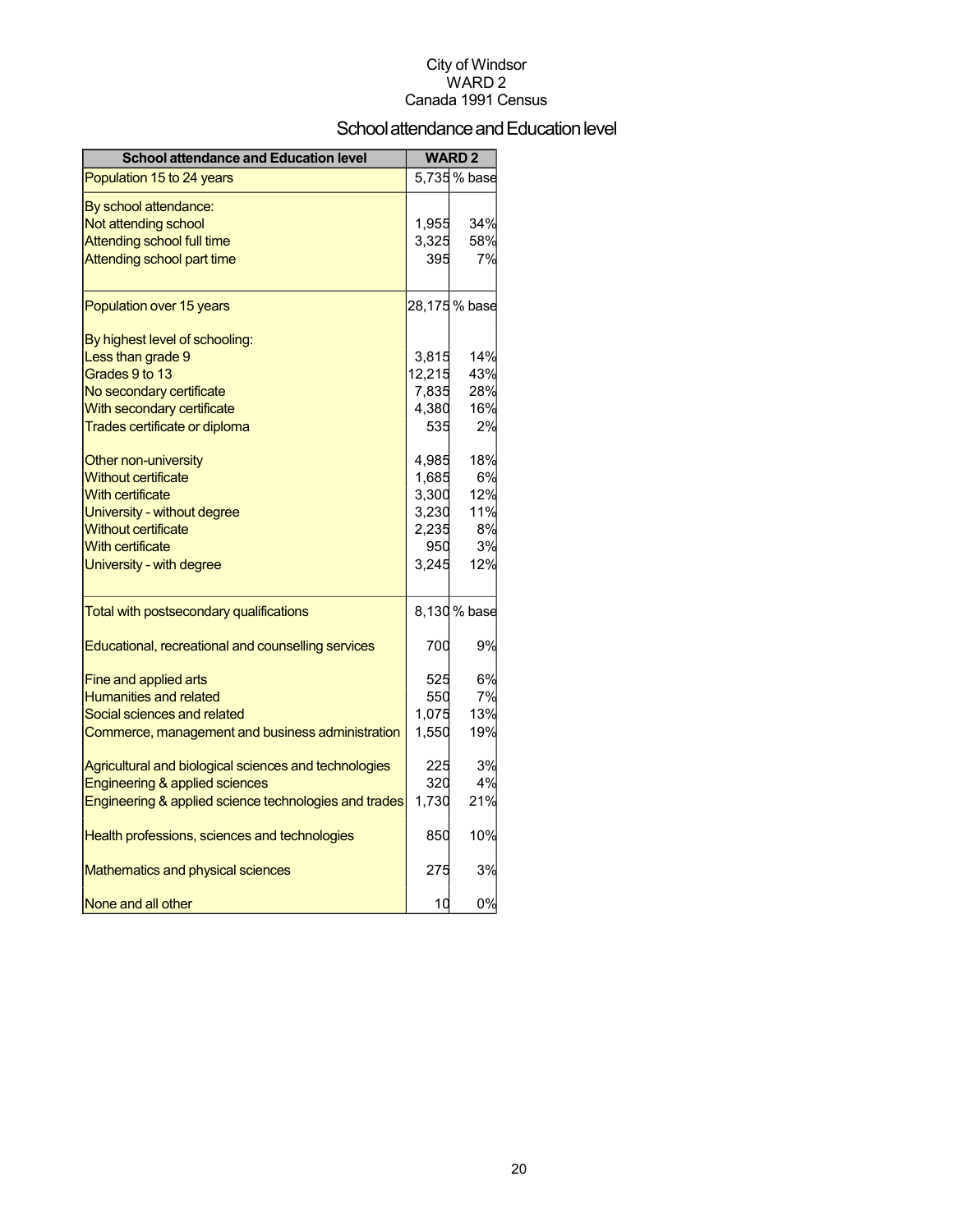## School attendance and Education level

| <b>School attendance and Education level</b>          |        | <b>WARD2</b>  |
|-------------------------------------------------------|--------|---------------|
| Population 15 to 24 years                             |        | 5,735 % base  |
| By school attendance:                                 |        |               |
| Not attending school                                  | 1,955  | 34%           |
| Attending school full time                            | 3,325  | 58%           |
| Attending school part time                            | 395    | 7%            |
| Population over 15 years                              |        | 28,175 % base |
| By highest level of schooling:                        |        |               |
| Less than grade 9                                     | 3,815  | 14%           |
| Grades 9 to 13                                        | 12,215 | 43%           |
| No secondary certificate                              | 7,835  | 28%           |
| With secondary certificate                            | 4,380  | 16%           |
| Trades certificate or diploma                         | 535    | 2%            |
| Other non-university                                  | 4,985  | 18%           |
| <b>Without certificate</b>                            | 1,685  | 6%            |
| <b>With certificate</b>                               | 3,300  | 12%           |
| University - without degree                           | 3,230  | 11%           |
| <b>Without certificate</b>                            | 2,235  | 8%            |
| <b>With certificate</b>                               | 950    | 3%            |
| University - with degree                              | 3,245  | 12%           |
| Total with postsecondary qualifications               |        | 8,130 % base  |
| Educational, recreational and counselling services    | 700    | 9%            |
| Fine and applied arts                                 | 525    | 6%            |
| <b>Humanities and related</b>                         | 550    | 7%            |
| Social sciences and related                           | 1,075  | 13%           |
| Commerce, management and business administration      | 1,550  | 19%           |
| Agricultural and biological sciences and technologies | 225    | 3%            |
| <b>Engineering &amp; applied sciences</b>             | 320    | 4%            |
| Engineering & applied science technologies and trades | 1,730  | 21%           |
| Health professions, sciences and technologies         | 850    | 10%           |
| <b>Mathematics and physical sciences</b>              | 275    | 3%            |
| None and all other                                    | 10     | 0%            |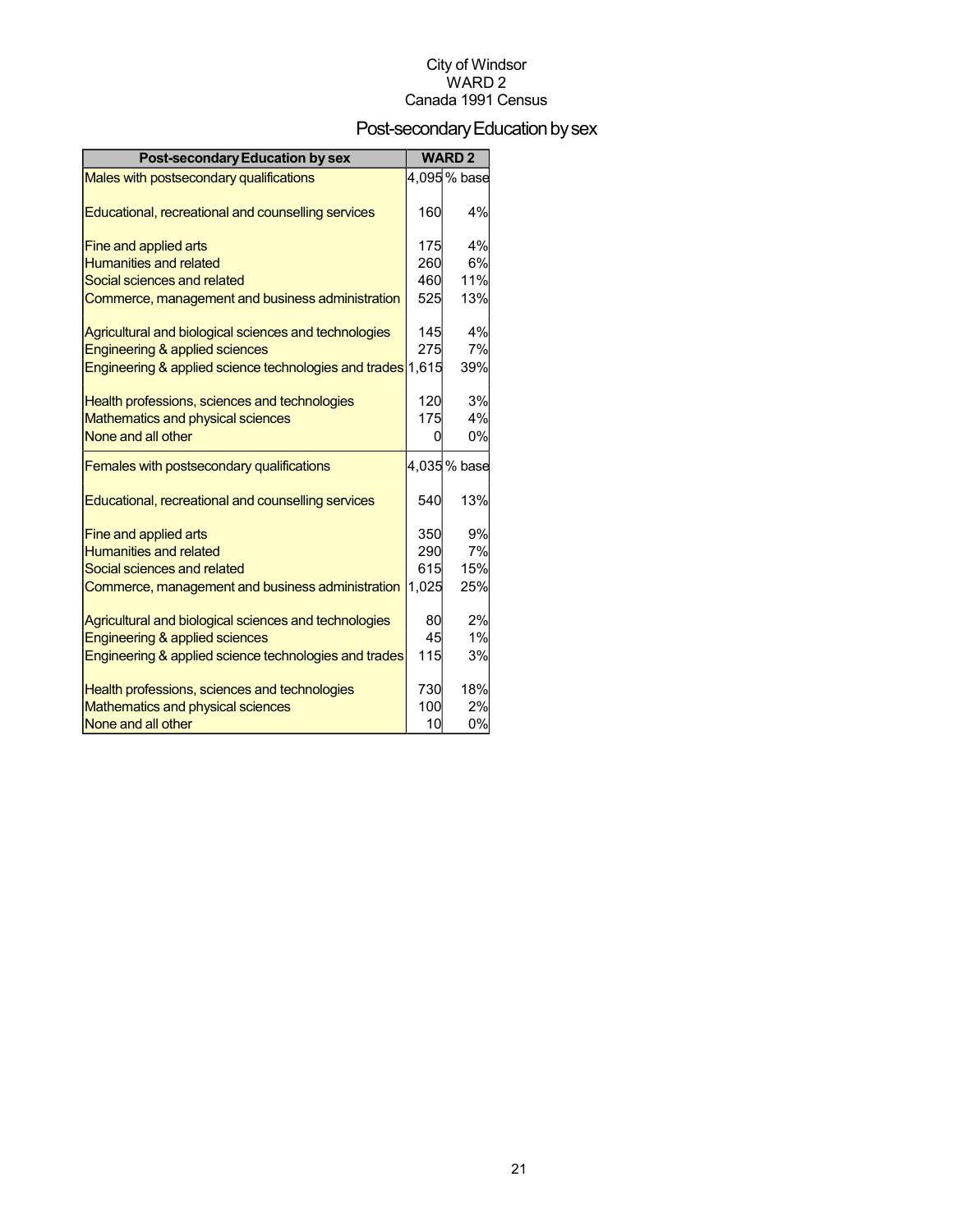## Post-secondary Education by sex

| <b>Post-secondary Education by sex</b>                      |       | <b>WARD2</b> |
|-------------------------------------------------------------|-------|--------------|
| Males with postsecondary qualifications                     |       | 4,095% base  |
| Educational, recreational and counselling services          | 160   | 4%           |
| Fine and applied arts                                       | 175   | 4%           |
| <b>Humanities and related</b>                               | 260   | 6%           |
| Social sciences and related                                 | 460   | 11%          |
| Commerce, management and business administration            | 525   | 13%          |
| Agricultural and biological sciences and technologies       | 145   | 4%           |
| Engineering & applied sciences                              | 275   | 7%           |
| Engineering & applied science technologies and trades 1,615 |       | 39%          |
| Health professions, sciences and technologies               | 120   | 3%           |
| Mathematics and physical sciences                           | 175   | 4%           |
| None and all other                                          | O     | 0%           |
| Females with postsecondary qualifications                   |       | 4,035% base  |
| Educational, recreational and counselling services          | 540   | 13%          |
| Fine and applied arts                                       | 350   | 9%           |
| <b>Humanities and related</b>                               | 290   | 7%           |
| Social sciences and related                                 | 615   | 15%          |
| Commerce, management and business administration            | 1,025 | 25%          |
| Agricultural and biological sciences and technologies       | 80    | 2%           |
| Engineering & applied sciences                              | 45    | 1%           |
| Engineering & applied science technologies and trades       | 115   | 3%           |
| Health professions, sciences and technologies               | 730   | 18%          |
| Mathematics and physical sciences                           | 100   | 2%           |
| None and all other                                          | 10    | 0%           |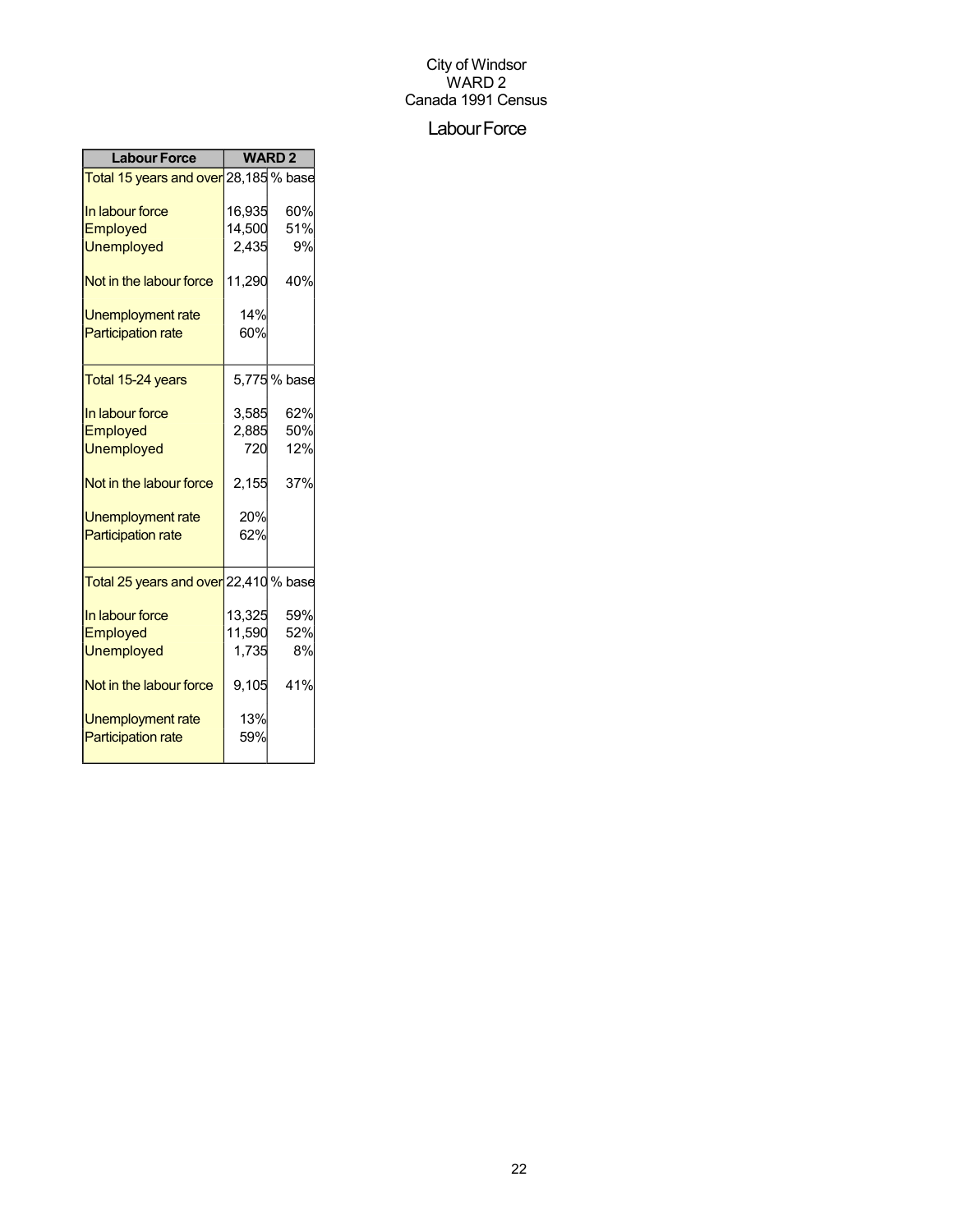## Labour Force

| <b>Labour Force</b>                                |        | <b>WARD2</b> |
|----------------------------------------------------|--------|--------------|
| Total 15 years and over 28,185 % base              |        |              |
| In labour force                                    | 16,935 | 60%          |
| Employed                                           | 14,500 | 51%          |
| <b>Unemployed</b>                                  | 2,435  | 9%           |
| Not in the labour force                            | 11,290 | 40%          |
| Unemployment rate                                  | 14%    |              |
| <b>Participation rate</b>                          | 60%    |              |
| Total 15-24 years                                  |        | 5,775 % base |
| In labour force                                    | 3,585  | 62%          |
| Employed                                           | 2,885  | 50%          |
| <b>Unemployed</b>                                  | 720    | 12%          |
| Not in the labour force                            | 2,155  | 37%          |
| Unemployment rate                                  | 20%    |              |
| <b>Participation rate</b>                          | 62%    |              |
| <mark>Total 25 years and over</mark> 22,410 % base |        |              |
| In labour force                                    | 13,325 | 59%          |
| Employed                                           | 11,590 | 52%          |
| <b>Unemployed</b>                                  | 1,735  | 8%           |
| Not in the labour force                            | 9,105  | 41%          |
| Unemployment rate                                  | 13%    |              |
| <b>Participation rate</b>                          | 59%    |              |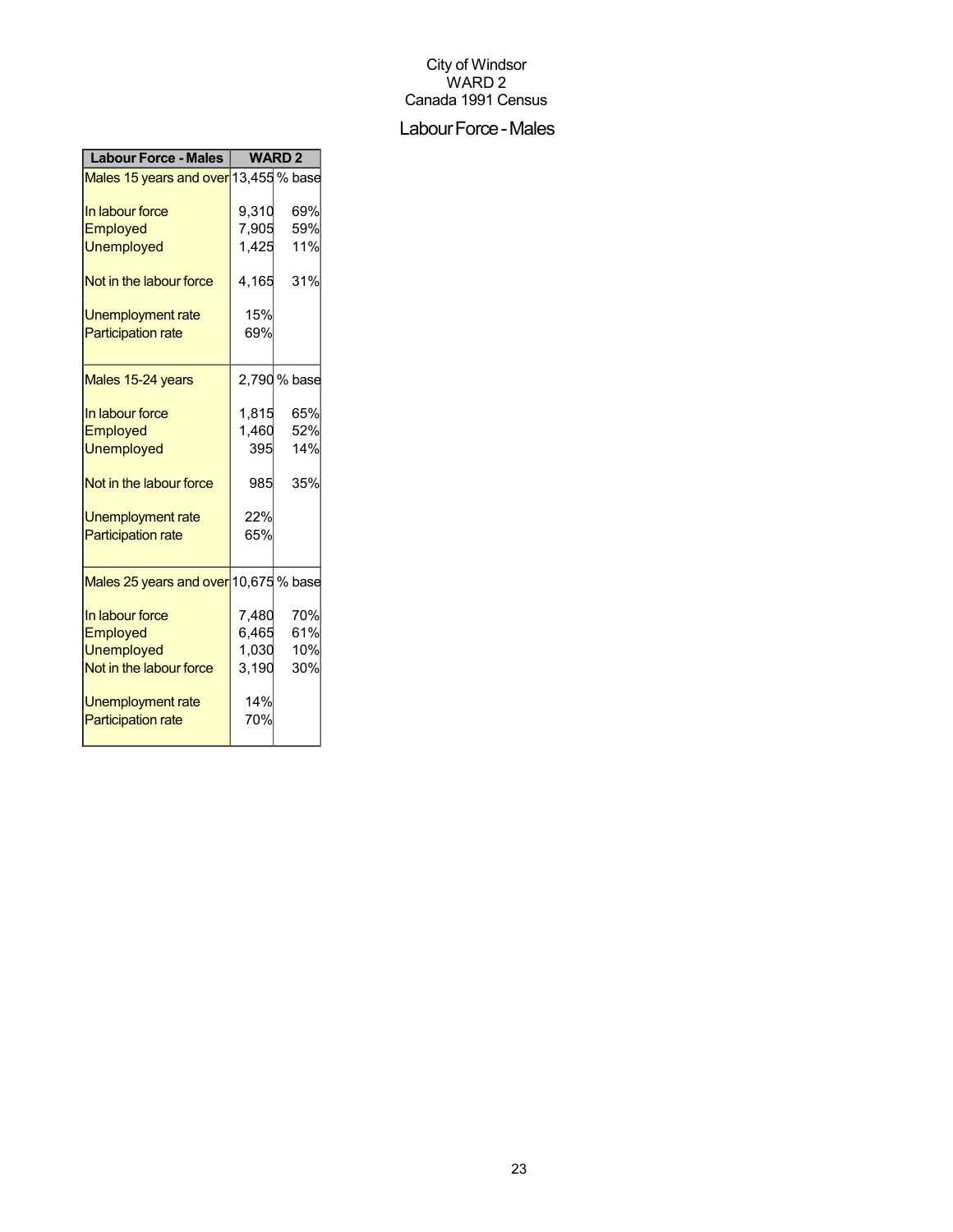#### Labour Force - Males

| Males 15 years and over 13,455 % base<br>69%<br>9,310<br>7,905<br>59%<br>11%<br>1,425<br>4,165<br>31%<br>15%<br>Unemployment rate<br>69%<br>2,790 % base<br>1,815<br>65%<br>1,460<br>52%<br>14%<br>395<br>35%<br>985<br>22%<br>65%<br>Males 25 years and over 10,675 % base<br>70%<br>7,480<br>6,465<br>61%<br>1,030<br>10%<br>3,190<br>30%<br>14% | <b>Labour Force - Males</b> | <b>WARD2</b> |  |
|----------------------------------------------------------------------------------------------------------------------------------------------------------------------------------------------------------------------------------------------------------------------------------------------------------------------------------------------------|-----------------------------|--------------|--|
|                                                                                                                                                                                                                                                                                                                                                    |                             |              |  |
|                                                                                                                                                                                                                                                                                                                                                    | In labour force             |              |  |
|                                                                                                                                                                                                                                                                                                                                                    | Employed                    |              |  |
|                                                                                                                                                                                                                                                                                                                                                    | <b>Unemployed</b>           |              |  |
|                                                                                                                                                                                                                                                                                                                                                    | Not in the labour force     |              |  |
|                                                                                                                                                                                                                                                                                                                                                    |                             |              |  |
|                                                                                                                                                                                                                                                                                                                                                    | <b>Participation rate</b>   |              |  |
|                                                                                                                                                                                                                                                                                                                                                    | Males 15-24 years           |              |  |
|                                                                                                                                                                                                                                                                                                                                                    | In labour force             |              |  |
|                                                                                                                                                                                                                                                                                                                                                    | Employed                    |              |  |
|                                                                                                                                                                                                                                                                                                                                                    | <b>Unemployed</b>           |              |  |
|                                                                                                                                                                                                                                                                                                                                                    | Not in the labour force     |              |  |
|                                                                                                                                                                                                                                                                                                                                                    | Unemployment rate           |              |  |
|                                                                                                                                                                                                                                                                                                                                                    | <b>Participation rate</b>   |              |  |
|                                                                                                                                                                                                                                                                                                                                                    |                             |              |  |
|                                                                                                                                                                                                                                                                                                                                                    | In labour force             |              |  |
|                                                                                                                                                                                                                                                                                                                                                    | Employed                    |              |  |
|                                                                                                                                                                                                                                                                                                                                                    | <b>Unemployed</b>           |              |  |
|                                                                                                                                                                                                                                                                                                                                                    | Not in the labour force     |              |  |
|                                                                                                                                                                                                                                                                                                                                                    | Unemployment rate           |              |  |
| 70%                                                                                                                                                                                                                                                                                                                                                | <b>Participation rate</b>   |              |  |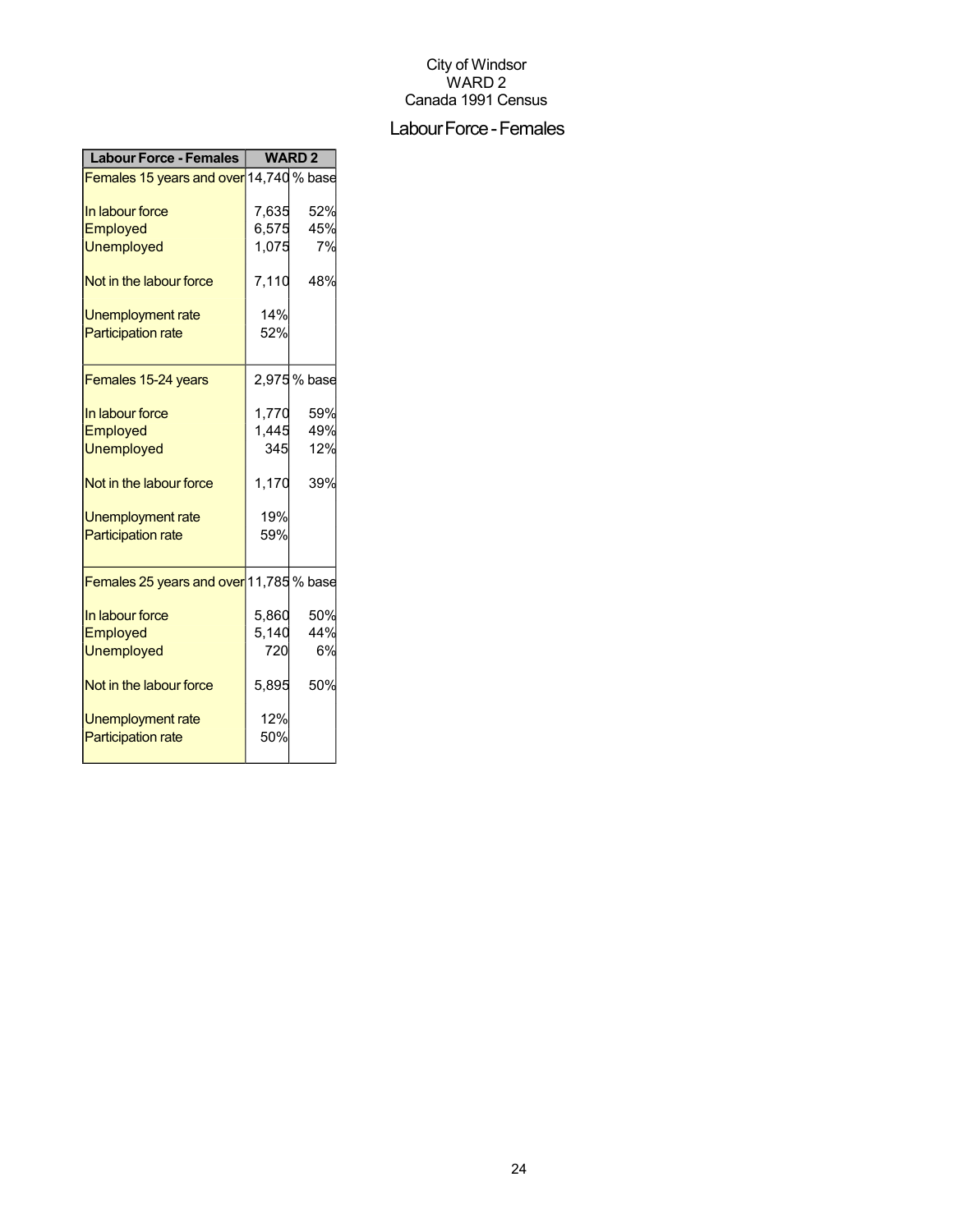#### Labour Force - Females

| <b>Labour Force - Females</b>           | <b>WARD2</b> |             |
|-----------------------------------------|--------------|-------------|
| Females 15 years and over 14,740 % base |              |             |
| In labour force                         | 7,635        | 52%         |
| <b>Employed</b>                         | 6,575        | 45%         |
| <b>Unemployed</b>                       | 1,075        | 7%          |
| Not in the labour force                 | 7,110        | 48%         |
| Unemployment rate                       | 14%          |             |
| <b>Participation rate</b>               | 52%          |             |
| Females 15-24 years                     |              | 2,975% base |
| In labour force                         | 1,770        | 59%         |
| Employed                                | 1,445        | 49%         |
| <b>Unemployed</b>                       | 345          | 12%         |
| Not in the labour force                 | 1,170        | 39%         |
| <b>Unemployment rate</b>                | 19%          |             |
| <b>Participation rate</b>               | 59%          |             |
| Females 25 years and over 11,785 % base |              |             |
| In labour force                         | 5,860        | 50%         |
| Employed                                | 5,140        | 44%         |
| <b>Unemployed</b>                       | 720          | 6%          |
| Not in the labour force                 | 5,895        | 50%         |
| Unemployment rate                       | 12%          |             |
| <b>Participation rate</b>               | 50%          |             |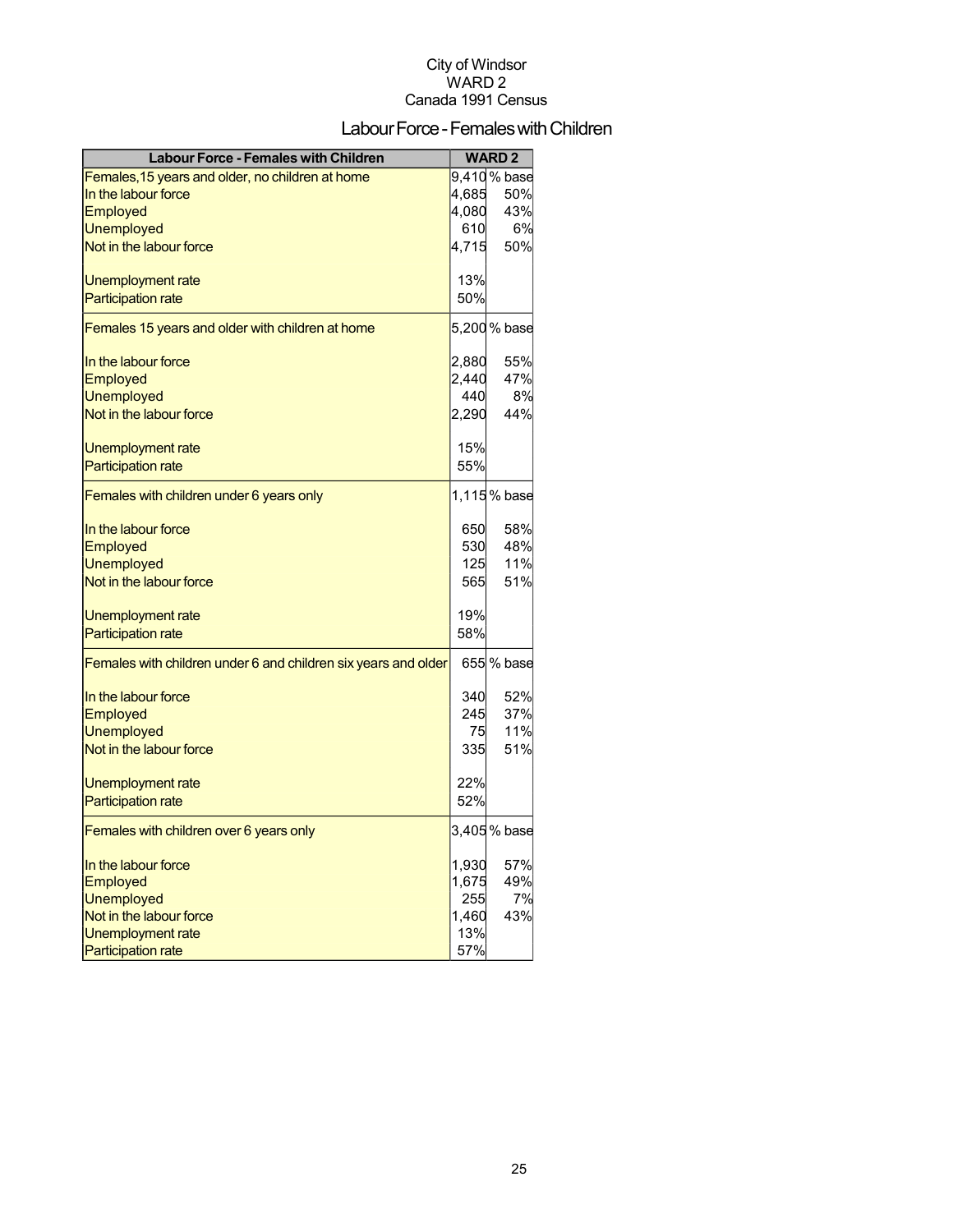## Labour Force - Females with Children

| <b>Labour Force - Females with Children</b>                    |       | <b>WARD2</b> |
|----------------------------------------------------------------|-------|--------------|
| Females, 15 years and older, no children at home               |       | 9,410% base  |
| In the labour force                                            | 4,685 | 50%          |
| Employed                                                       | 4,080 | 43%          |
| <b>Unemployed</b>                                              | 610   | 6%           |
| Not in the labour force                                        | 4,715 | 50%          |
| Unemployment rate                                              | 13%   |              |
| <b>Participation rate</b>                                      | 50%   |              |
| Females 15 years and older with children at home               |       | 5,200 % base |
| In the labour force                                            | 2,880 | 55%          |
| Employed                                                       | 2,440 | 47%          |
| <b>Unemployed</b>                                              | 440   | 8%           |
| Not in the labour force                                        | 2,290 | 44%          |
| Unemployment rate                                              | 15%   |              |
| <b>Participation rate</b>                                      | 55%   |              |
| Females with children under 6 years only                       |       | 1,115% base  |
| In the labour force                                            | 650   | 58%          |
| Employed                                                       | 530   | 48%          |
| <b>Unemployed</b>                                              | 125   | 11%          |
| Not in the labour force                                        | 565   | 51%          |
|                                                                |       |              |
| Unemployment rate                                              | 19%   |              |
| <b>Participation rate</b>                                      | 58%   |              |
| Females with children under 6 and children six years and older |       | 655 % base   |
| In the labour force                                            | 340   | 52%          |
| Employed                                                       | 245   | 37%          |
| <b>Unemployed</b>                                              | 75    | 11%          |
| Not in the labour force                                        | 335   | 51%          |
| Unemployment rate                                              | 22%   |              |
| <b>Participation rate</b>                                      | 52%   |              |
| Females with children over 6 years only                        |       | 3,405% base  |
| In the labour force                                            | 1,930 | 57%          |
| Employed                                                       | 1,675 | 49%          |
| <b>Unemployed</b>                                              | 255   | 7%           |
| Not in the labour force                                        | 1,460 | 43%          |
| Unemployment rate                                              | 13%   |              |
| <b>Participation rate</b>                                      | 57%   |              |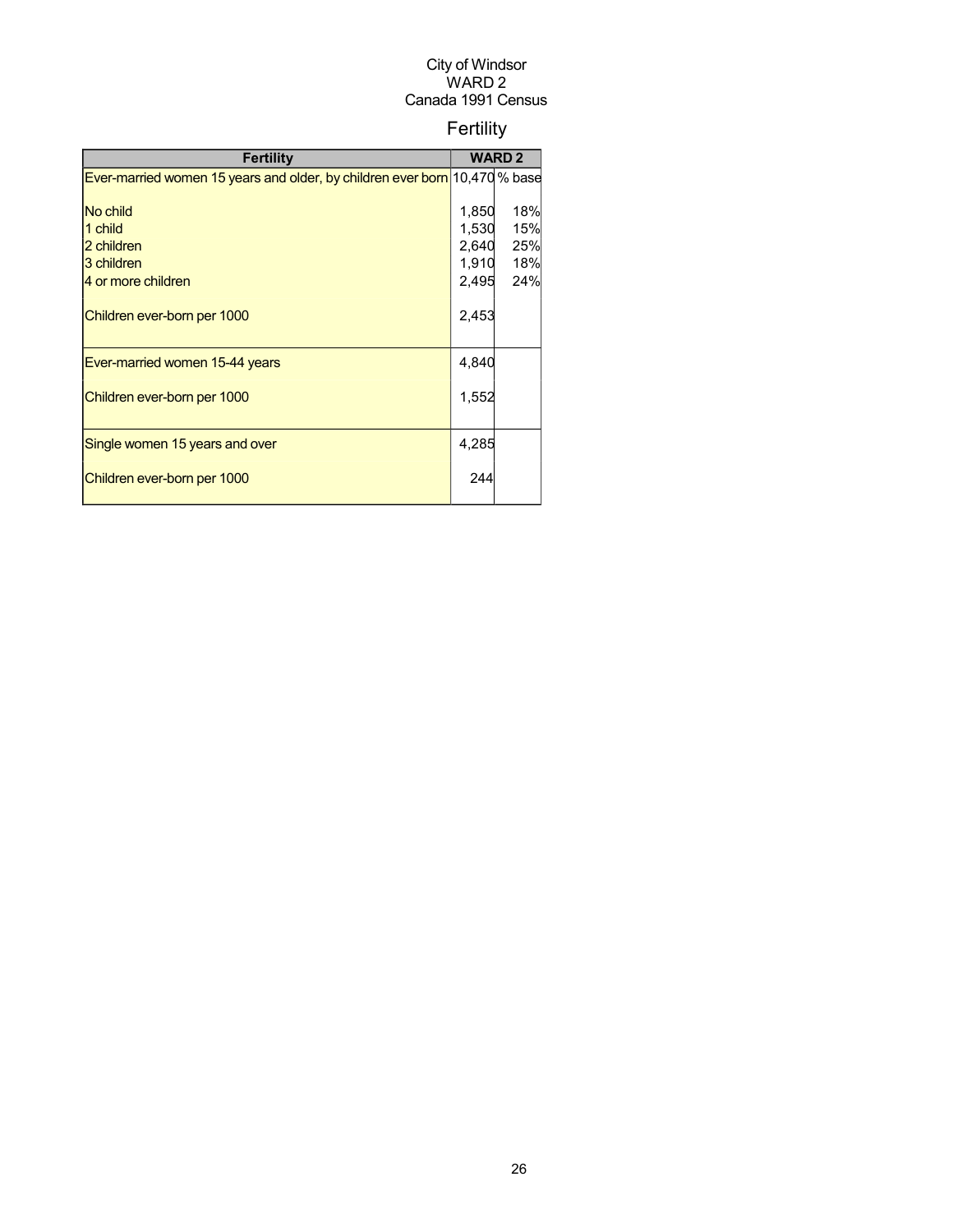## Fertility

| Fertility                                                                  |       | <b>WARD 2</b> |
|----------------------------------------------------------------------------|-------|---------------|
| Ever-married women 15 years and older, by children ever born 10,470 % base |       |               |
|                                                                            |       |               |
| No child                                                                   | 1,850 | 18%           |
| 1 child                                                                    | 1,530 | 15%           |
| 2 children                                                                 | 2,640 | 25%           |
| 3 children                                                                 | 1,910 | 18%           |
| 4 or more children                                                         | 2,495 | 24%           |
| Children ever-born per 1000                                                | 2,453 |               |
| Ever-married women 15-44 years                                             | 4,840 |               |
| Children ever-born per 1000                                                | 1,552 |               |
| Single women 15 years and over                                             | 4,285 |               |
| Children ever-born per 1000                                                | 244   |               |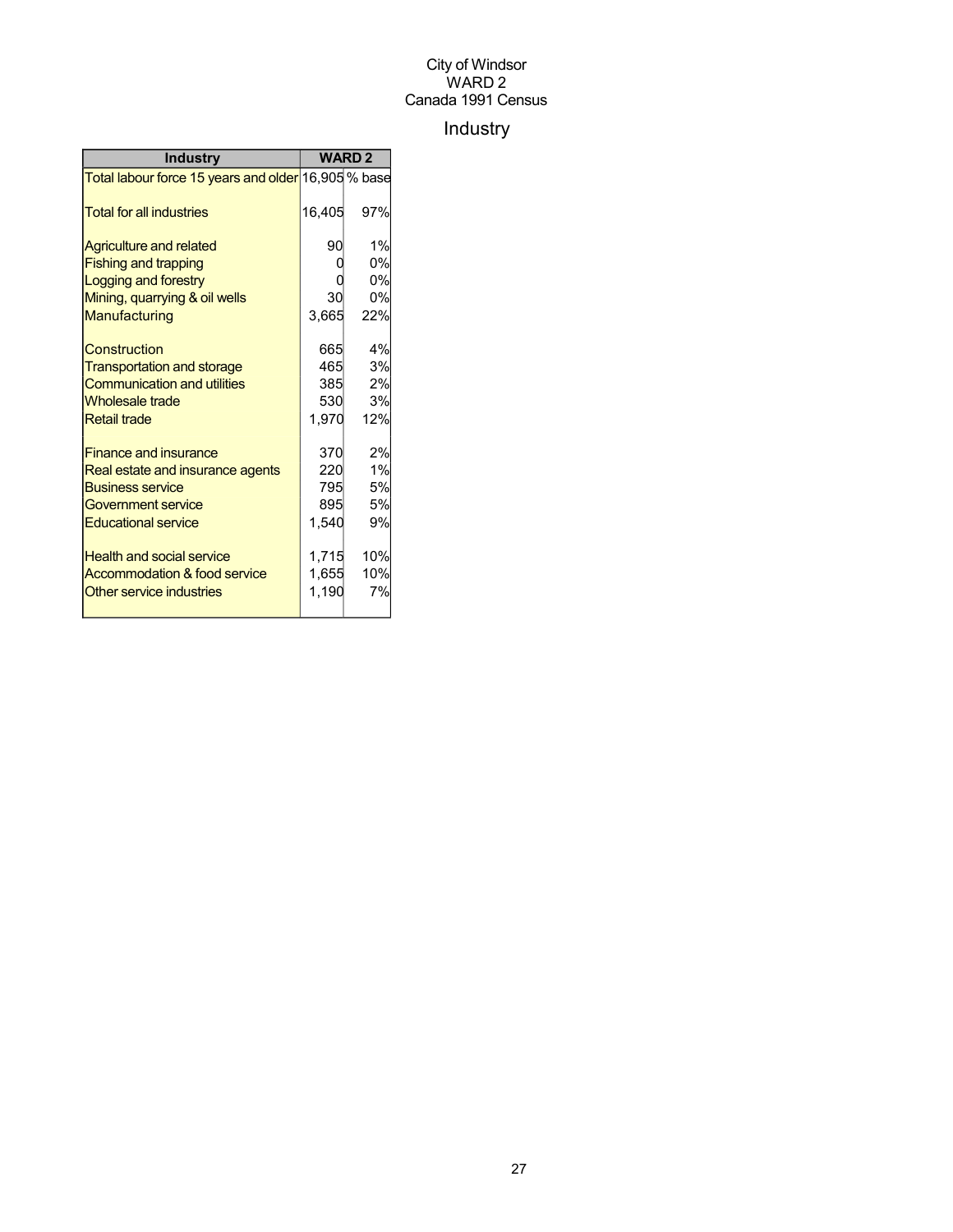## Industry

| <b>Industry</b>                                     | <b>WARD 2</b> |     |
|-----------------------------------------------------|---------------|-----|
| Total labour force 15 years and older 16,905 % base |               |     |
| <b>Total for all industries</b>                     | 16,405        | 97% |
| <b>Agriculture and related</b>                      | 90            | 1%  |
| <b>Fishing and trapping</b>                         |               | 0%  |
| Logging and forestry                                |               | 0%  |
| Mining, quarrying & oil wells                       | 30            | 0%  |
| Manufacturing                                       | 3,665         | 22% |
| Construction                                        | 665           | 4%  |
| <b>Transportation and storage</b>                   | 465           | 3%  |
| <b>Communication and utilities</b>                  | 385           | 2%  |
| <b>Wholesale trade</b>                              | 530           | 3%  |
| <b>Retail trade</b>                                 | 1,970         | 12% |
| <b>Finance and insurance</b>                        | 370           | 2%  |
| Real estate and insurance agents                    | 220           | 1%  |
| <b>Business service</b>                             | 795           | 5%  |
| Government service                                  | 895           | 5%  |
| <b>Educational service</b>                          | 1,540         | 9%  |
| <b>Health and social service</b>                    | 1,715         | 10% |
| Accommodation & food service                        | 1,655         | 10% |
| Other service industries                            | 1,190         | 7%  |
|                                                     |               |     |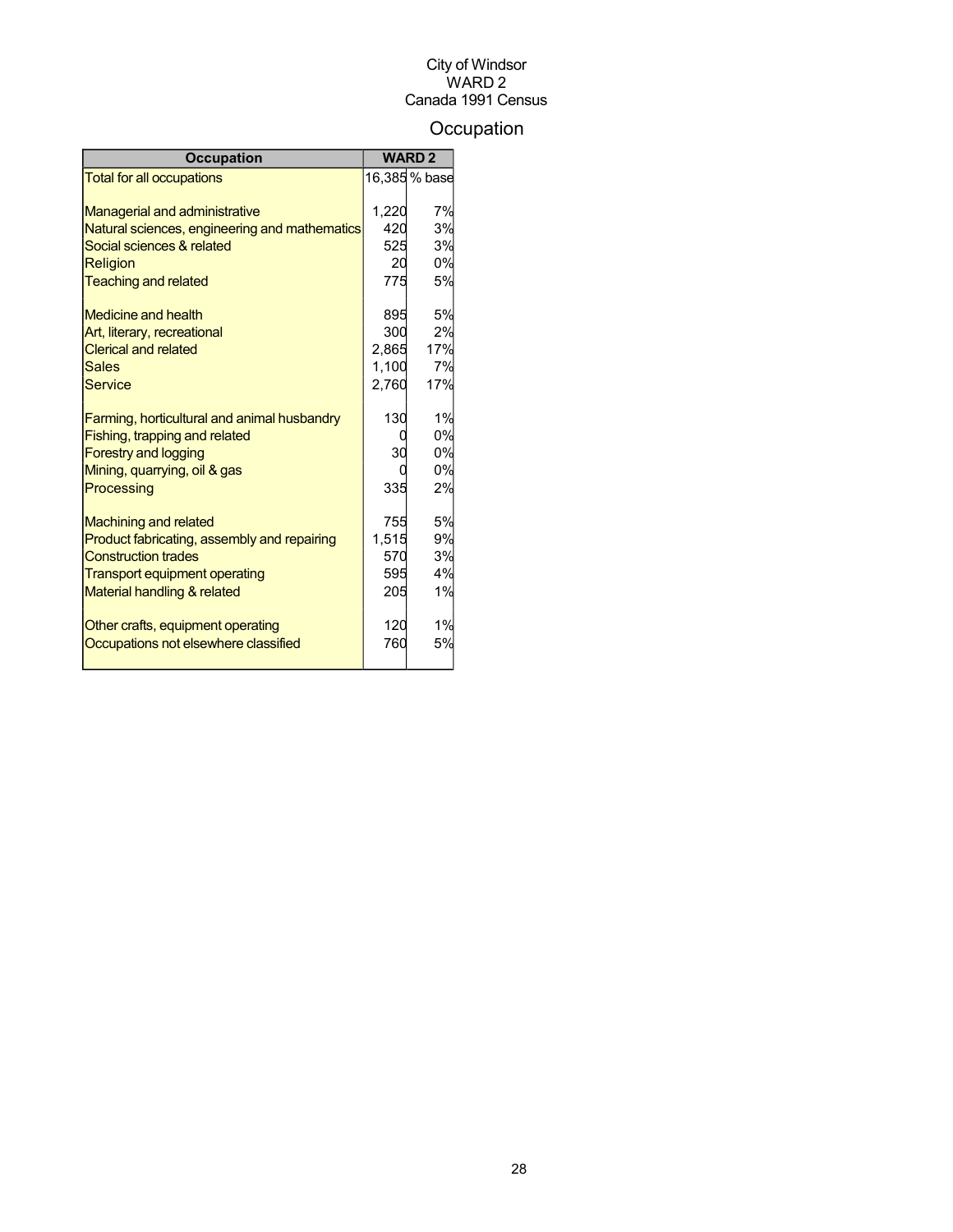## **Occupation**

| <b>Occupation</b>                             | <b>WARD 2</b> |               |
|-----------------------------------------------|---------------|---------------|
| <b>Total for all occupations</b>              |               | 16,385 % base |
|                                               |               |               |
| <b>Managerial and administrative</b>          | 1.220         | 7%            |
| Natural sciences, engineering and mathematics | 420           | 3%            |
| Social sciences & related                     | 525           | 3%            |
| <b>Religion</b>                               | 20            | 0%            |
| <b>Teaching and related</b>                   | 775           | 5%            |
| Medicine and health                           | 895           | 5%            |
| Art, literary, recreational                   | 300           | 2%            |
| <b>Clerical and related</b>                   | 2,865         | 17%           |
| <b>Sales</b>                                  | 1,100         | 7%            |
| Service                                       | 2,760         | 17%           |
| Farming, horticultural and animal husbandry   | 130           | 1%            |
| Fishing, trapping and related                 |               | 0%            |
| <b>Forestry and logging</b>                   | 30            | 0%            |
| Mining, quarrying, oil & gas                  |               | 0%            |
| Processing                                    | 335           | 2%            |
| <b>Machining and related</b>                  | 755           | 5%            |
| Product fabricating, assembly and repairing   | 1,515         | 9%            |
| <b>Construction trades</b>                    | 570           | 3%            |
| <b>Transport equipment operating</b>          | 595           | 4%            |
| Material handling & related                   | 205           | 1%            |
| Other crafts, equipment operating             | 120           | 1%            |
| Occupations not elsewhere classified          | 760           | 5%            |
|                                               |               |               |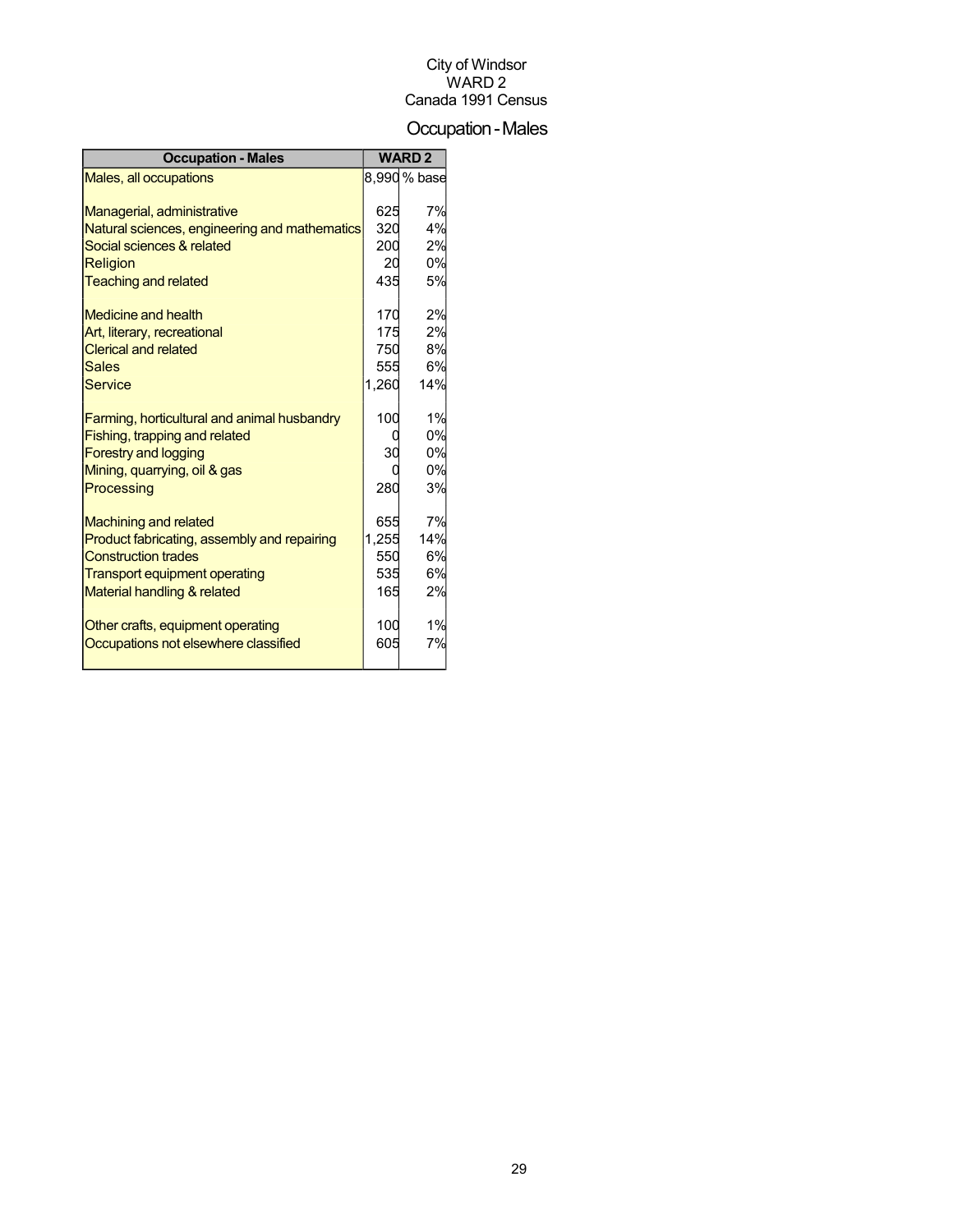## Occupation-Males

| <b>Occupation - Males</b>                     |       | <b>WARD 2</b> |
|-----------------------------------------------|-------|---------------|
| Males, all occupations                        |       | 8,990 % base  |
|                                               |       |               |
| Managerial, administrative                    | 625   | 7%            |
| Natural sciences, engineering and mathematics | 320   | 4%            |
| Social sciences & related                     | 200   | 2%            |
| <b>Religion</b>                               | 20    | 0%            |
| <b>Teaching and related</b>                   | 435   | 5%            |
| Medicine and health                           | 170   | 2%            |
| Art, literary, recreational                   | 175   | 2%            |
| <b>Clerical and related</b>                   | 750   | 8%            |
| Sales                                         | 555   | 6%            |
| <b>Service</b>                                | 1,260 | 14%           |
|                                               |       |               |
| Farming, horticultural and animal husbandry   | 100   | 1%            |
| Fishing, trapping and related                 |       | 0%            |
| <b>Forestry and logging</b>                   | 30    | 0%            |
| Mining, quarrying, oil & gas                  |       | 0%            |
| Processing                                    | 280   | 3%            |
| <b>Machining and related</b>                  | 655   | 7%            |
| Product fabricating, assembly and repairing   | 1,255 | 14%           |
| <b>Construction trades</b>                    | 550   | 6%            |
| <b>Transport equipment operating</b>          | 535   | 6%            |
| Material handling & related                   | 165   | 2%            |
|                                               |       |               |
| Other crafts, equipment operating             | 100   | 1%            |
| Occupations not elsewhere classified          | 605   | 7%            |
|                                               |       |               |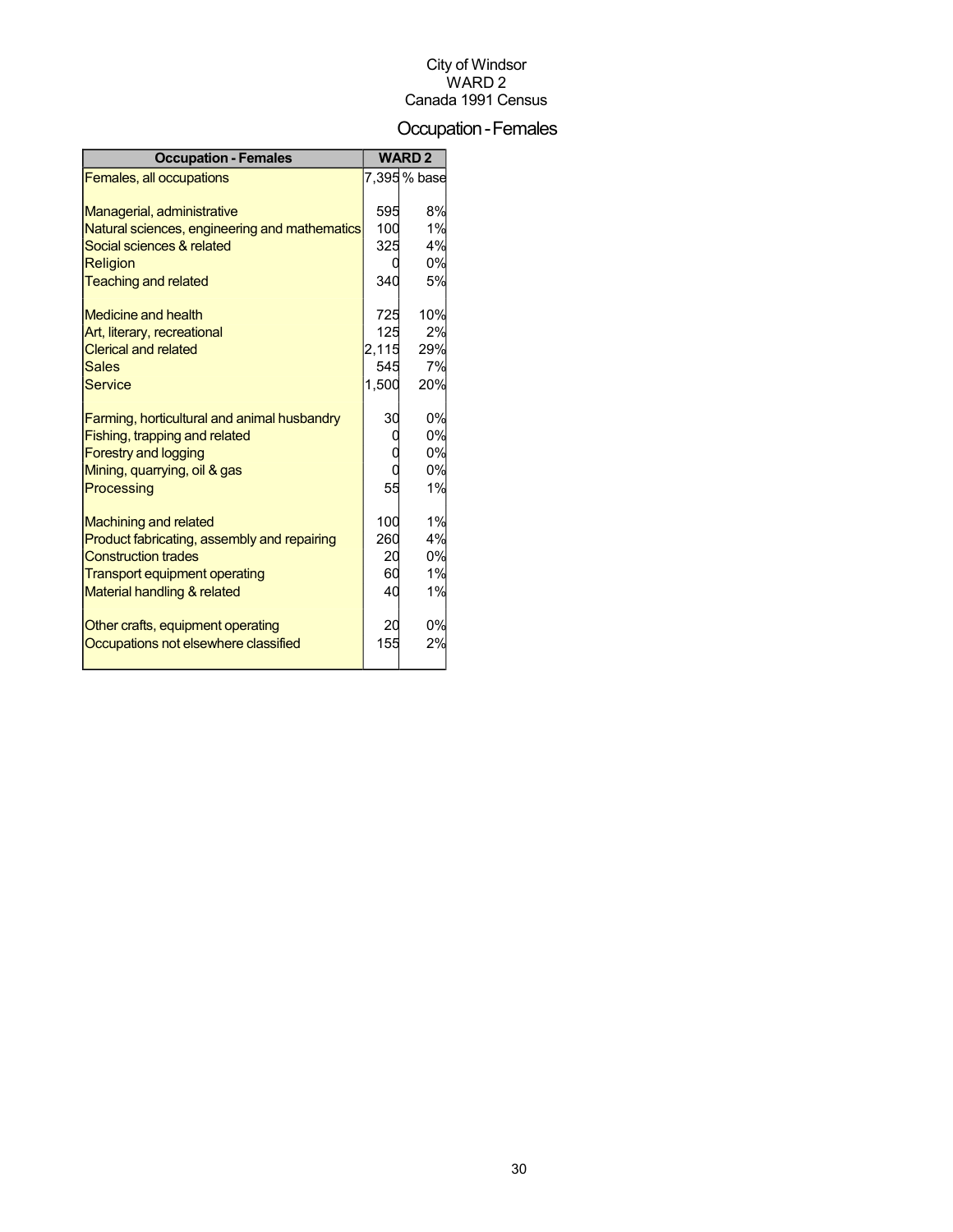## Occupation-Females

| <b>Occupation - Females</b>                   |       | <b>WARD2</b> |
|-----------------------------------------------|-------|--------------|
| Females, all occupations                      |       | 7,395 % base |
|                                               |       |              |
| Managerial, administrative                    | 595   | 8%           |
| Natural sciences, engineering and mathematics | 100   | 1%           |
| Social sciences & related                     | 325   | 4%           |
| Religion                                      |       | 0%           |
| <b>Teaching and related</b>                   | 340   | 5%           |
| <b>Medicine and health</b>                    | 725   | 10%          |
| Art, literary, recreational                   | 125   | 2%           |
| <b>Clerical and related</b>                   | 2,115 | 29%          |
| <b>Sales</b>                                  | 545   | 7%           |
| <b>Service</b>                                | 1,500 | 20%          |
|                                               |       |              |
| Farming, horticultural and animal husbandry   | 30    | 0%           |
| Fishing, trapping and related                 |       | 0%           |
| <b>Forestry and logging</b>                   |       | 0%           |
| Mining, quarrying, oil & gas                  |       | 0%           |
| Processing                                    | 55    | 1%           |
|                                               |       |              |
| <b>Machining and related</b>                  | 100   | 1%           |
| Product fabricating, assembly and repairing   | 260   | 4%           |
| <b>Construction trades</b>                    | 20    | 0%           |
| <b>Transport equipment operating</b>          | 60    | 1%           |
| Material handling & related                   | 40    | 1%           |
| Other crafts, equipment operating             | 20    | 0%           |
| Occupations not elsewhere classified          | 155   | 2%           |
|                                               |       |              |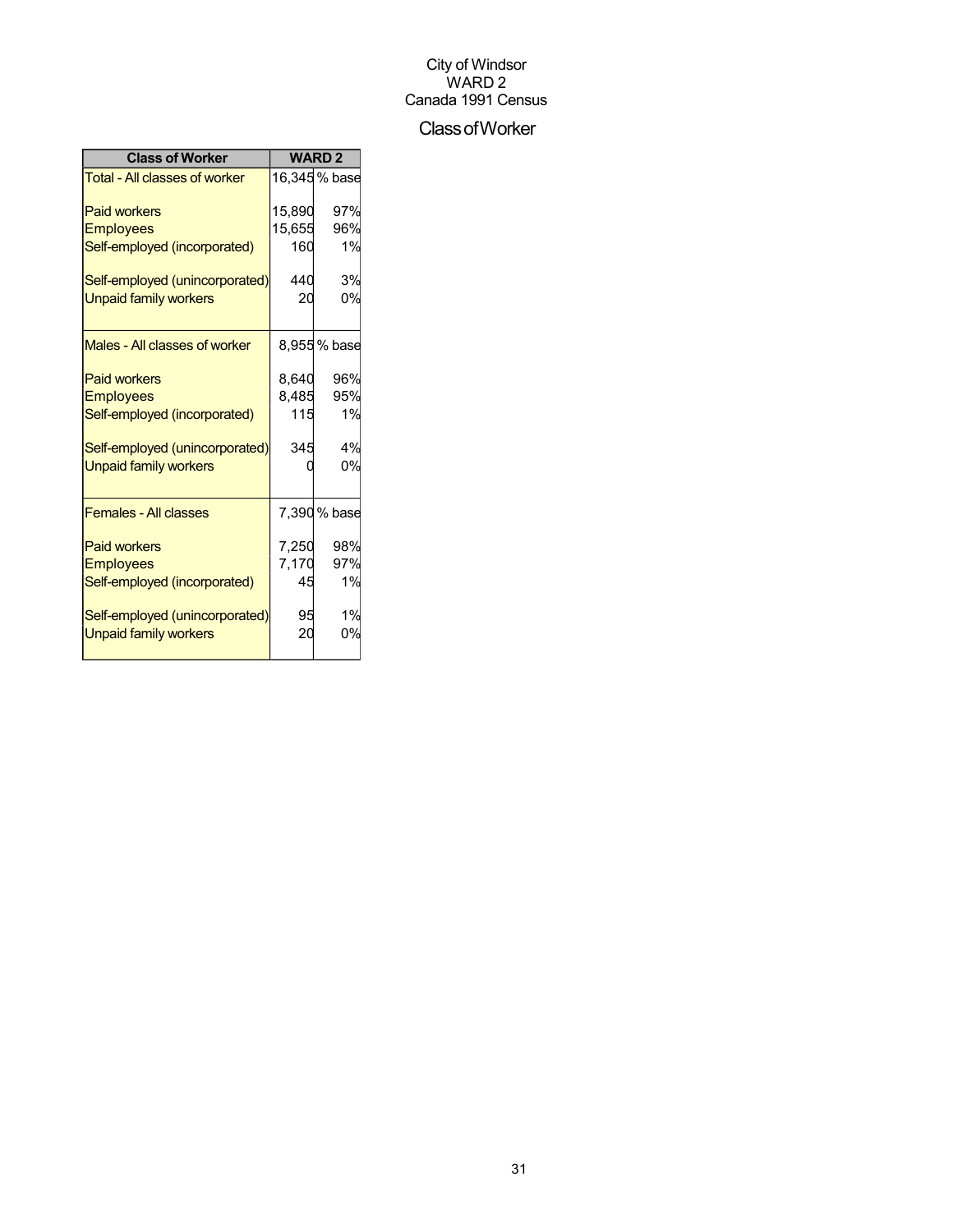#### ClassofWorker

| <b>Class of Worker</b>         | <b>WARD2</b> |               |  |
|--------------------------------|--------------|---------------|--|
| Total - All classes of worker  |              | 16,345 % base |  |
| <b>Paid workers</b>            | 15.890       | 97%           |  |
| <b>Employees</b>               | 15,655       | 96%           |  |
| Self-employed (incorporated)   | 160          | 1%            |  |
| Self-employed (unincorporated) | 440          | 3%            |  |
| <b>Unpaid family workers</b>   | 20           | 0%            |  |
| Males - All classes of worker  |              | 8,955% base   |  |
| <b>Paid workers</b>            | 8.640        | 96%           |  |
| <b>Employees</b>               | 8,485        | 95%           |  |
| Self-employed (incorporated)   | 115          | 1%            |  |
| Self-employed (unincorporated) | 345          | 4%            |  |
| <b>Unpaid family workers</b>   |              | 0%            |  |
| <b>Females - All classes</b>   |              | 7,390 % base  |  |
| <b>Paid workers</b>            | 7,250        | 98%           |  |
| <b>Employees</b>               | 7,170        | 97%           |  |
| Self-employed (incorporated)   | 45           | 1%            |  |
| Self-employed (unincorporated) | 95           | 1%            |  |
| <b>Unpaid family workers</b>   | 20           | 0%            |  |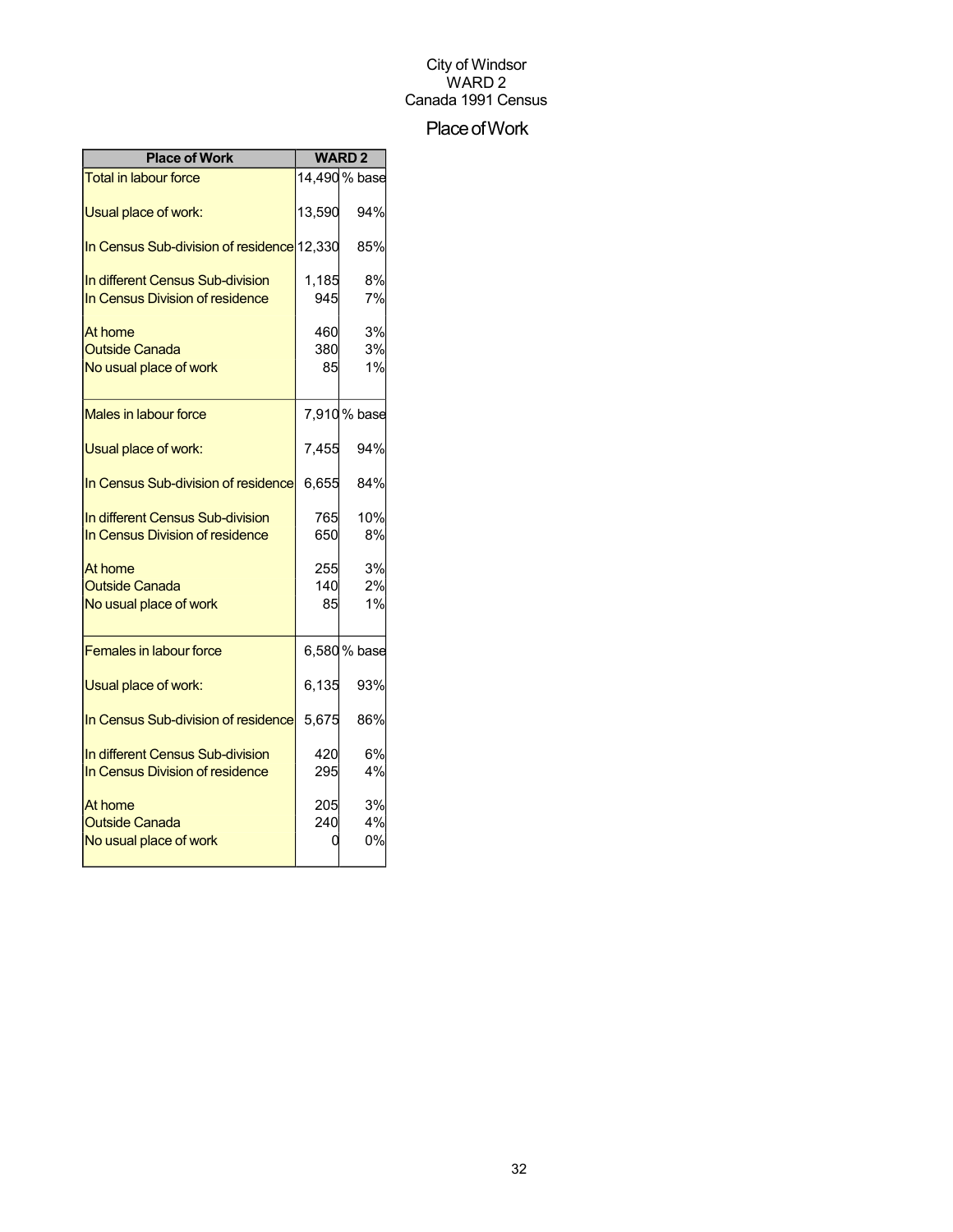## Place of Work

| <b>Place of Work</b>                                                | <b>WARD2</b>     |                |
|---------------------------------------------------------------------|------------------|----------------|
| <b>Total in labour force</b>                                        |                  | 14,490 % base  |
| Usual place of work:                                                | 13,590           | 94%            |
| In Census Sub-division of residence 12,330                          |                  | 85%            |
| In different Census Sub-division<br>In Census Division of residence | 1,185<br>945     | 8%<br>7%       |
| At home<br><b>Outside Canada</b><br>No usual place of work          | 460<br>380<br>85 | 3%<br>3%<br>1% |
| <b>Males in labour force</b>                                        |                  | 7,910 % base   |
| Usual place of work:                                                | 7,455            | 94%            |
| In Census Sub-division of residence                                 | 6,655            | 84%            |
| In different Census Sub-division<br>In Census Division of residence | 765<br>650       | 10%<br>8%      |
| At home<br><b>Outside Canada</b><br>No usual place of work          | 255<br>140<br>85 | 3%<br>2%<br>1% |
| <b>Females in labour force</b>                                      |                  | 6,580 % base   |
| Usual place of work:                                                | 6,135            | 93%            |
| In Census Sub-division of residence                                 | 5,675            | 86%            |
| In different Census Sub-division<br>In Census Division of residence | 420<br>295       | 6%<br>4%       |
| At home<br><b>Outside Canada</b><br>No usual place of work          | 205<br>240       | 3%<br>4%<br>0% |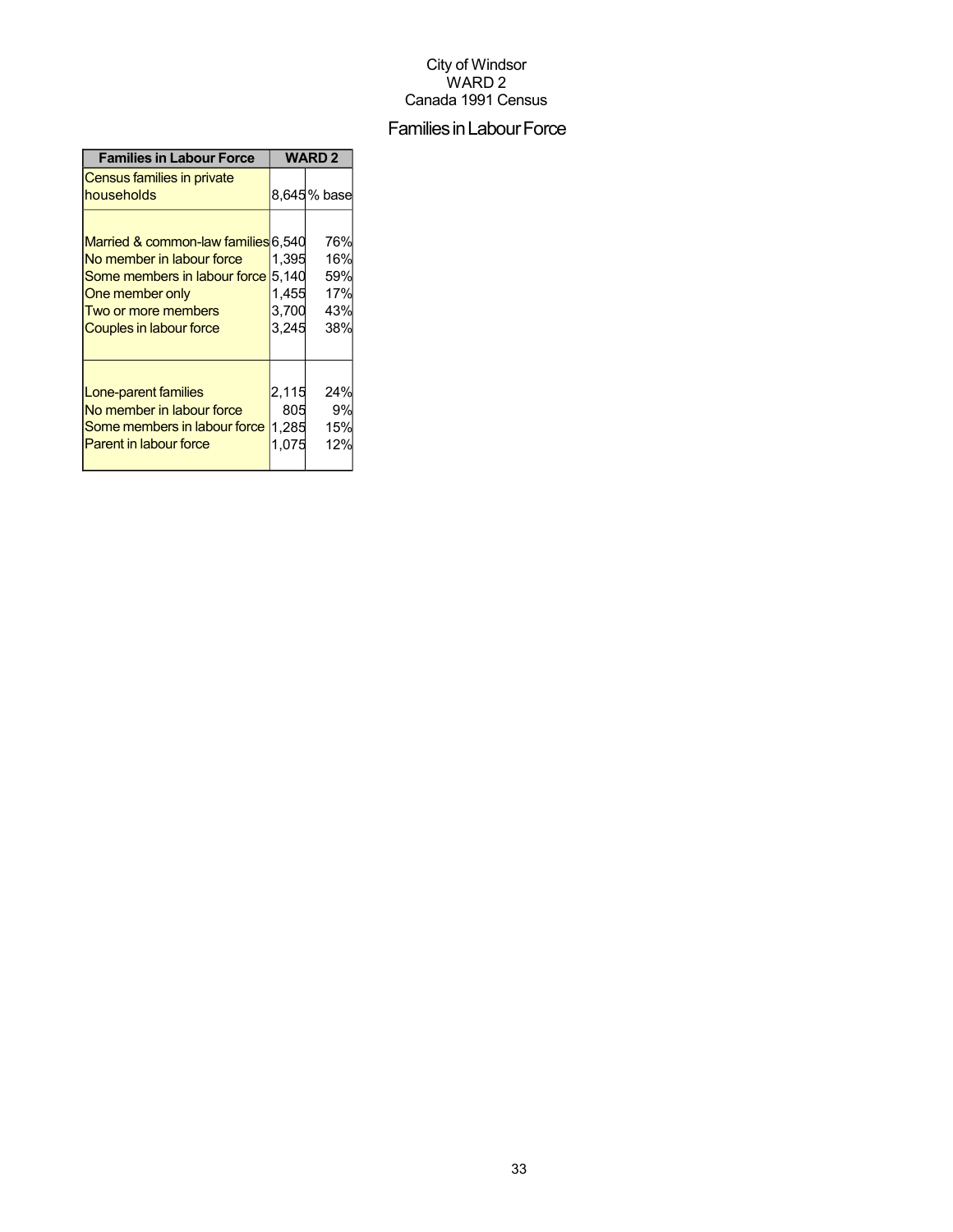## Families in Labour Force

| <b>Families in Labour Force</b>                                                                                                                                       | <b>WARD 2</b>                             |                                        |  |
|-----------------------------------------------------------------------------------------------------------------------------------------------------------------------|-------------------------------------------|----------------------------------------|--|
| Census families in private<br>households                                                                                                                              |                                           | 8,645% base                            |  |
| Married & common-law families 6,540<br>No member in labour force<br>Some members in labour force<br>One member only<br>Two or more members<br>Couples in labour force | 1.395<br>5,140<br>1,455<br>3,700<br>3,245 | 76%<br>16%<br>59%<br>17%<br>43%<br>38% |  |
| Lone-parent families<br>No member in labour force<br>Some members in labour force<br><b>Parent in labour force</b>                                                    | 2,115<br>805<br>1,285<br>1.075            | 24%<br>9%<br>15%<br>12%                |  |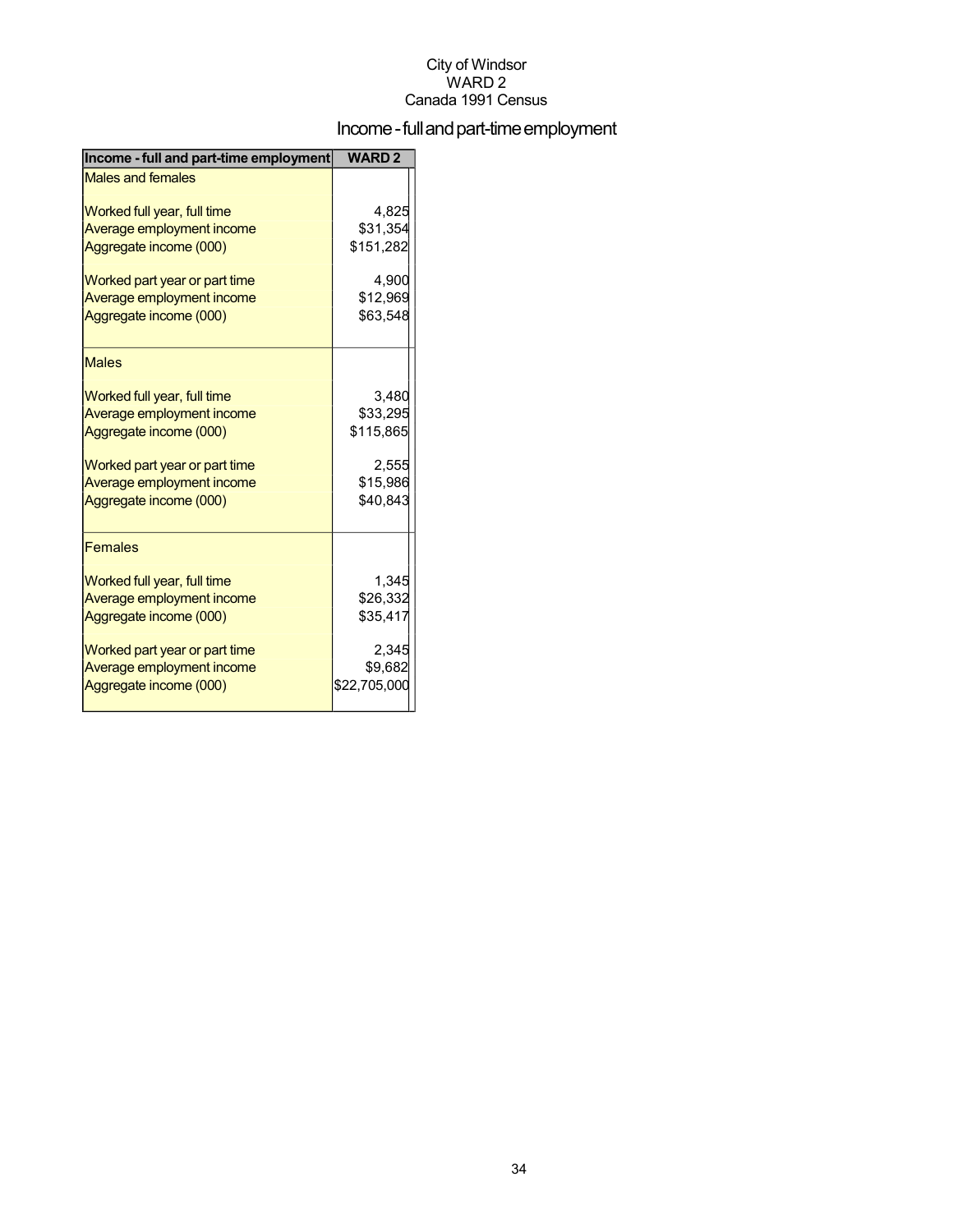## Income - full and part-time employment

| Income - full and part-time employment | <b>WARD2</b> |
|----------------------------------------|--------------|
| <b>Males and females</b>               |              |
| Worked full year, full time            | 4,825        |
| Average employment income              | \$31,354     |
| Aggregate income (000)                 | \$151,282    |
| Worked part year or part time          | 4.900        |
| Average employment income              | \$12,969     |
| Aggregate income (000)                 | \$63,548     |
| <b>Males</b>                           |              |
| Worked full year, full time            | 3,480        |
| Average employment income              | \$33,295     |
| Aggregate income (000)                 | \$115,865    |
| Worked part year or part time          | 2,555        |
| Average employment income              | \$15,986     |
| Aggregate income (000)                 | \$40,843     |
| <b>Females</b>                         |              |
| Worked full year, full time            | 1,345        |
| Average employment income              | \$26,332     |
| Aggregate income (000)                 | \$35,417     |
| Worked part year or part time          | 2,345        |
| Average employment income              | \$9,682      |
| Aggregate income (000)                 | \$22,705,000 |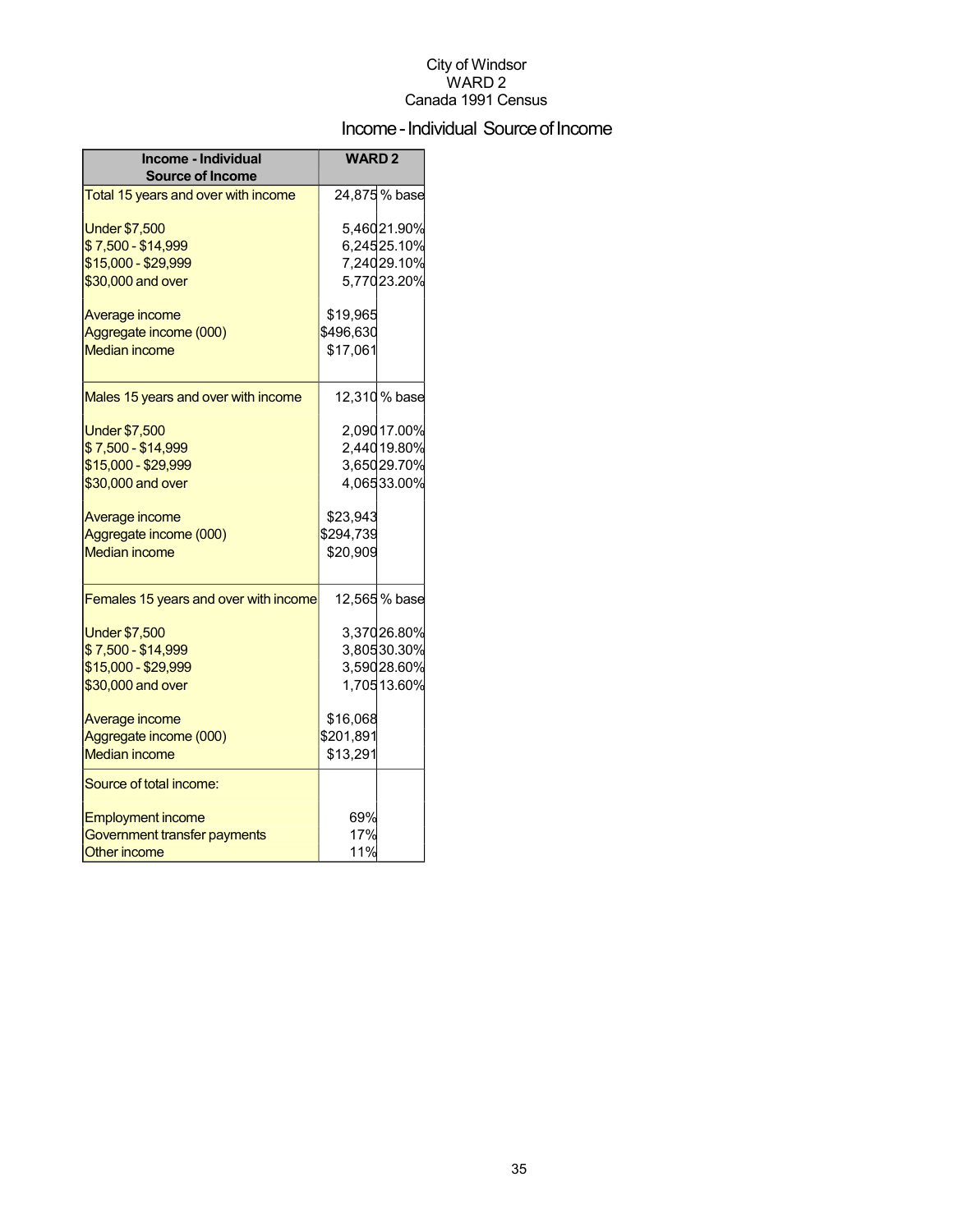## Income - Individual Source of Income

| Income - Individual<br><b>Source of Income</b> | <b>WARD2</b> |                            |
|------------------------------------------------|--------------|----------------------------|
| Total 15 years and over with income            |              | 24,875 % base              |
| <b>Under \$7,500</b>                           |              | 5,46021.90%                |
| \$7,500 - \$14,999                             |              | 6,24525.10%                |
| \$15,000 - \$29,999<br>\$30,000 and over       |              | 7,24029.10%<br>5,77023.20% |
|                                                |              |                            |
| Average income                                 | \$19,965     |                            |
| Aggregate income (000)                         | \$496,630    |                            |
| <b>Median income</b>                           | \$17,061     |                            |
| Males 15 years and over with income            |              | 12,310% base               |
| <b>Under \$7,500</b>                           |              | 2,090 17.00%               |
| \$7,500 - \$14,999                             |              | 2,44019.80%                |
| \$15,000 - \$29,999                            |              | 3,65029.70%                |
| \$30,000 and over                              |              | 4,06533.00%                |
| Average income                                 | \$23,943     |                            |
| Aggregate income (000)                         | \$294,739    |                            |
| <b>Median income</b>                           | \$20,909     |                            |
| Females 15 years and over with income          |              | 12,565 % base              |
| <b>Under \$7,500</b>                           |              | 3,37026.80%                |
| \$7,500 - \$14,999                             |              | 3,80530.30%                |
| \$15,000 - \$29,999                            |              | 3,59028.60%                |
| \$30,000 and over                              |              | 1,70513.60%                |
| Average income                                 | \$16,068     |                            |
| Aggregate income (000)                         | \$201,891    |                            |
| <b>Median income</b>                           | \$13,291     |                            |
| Source of total income:                        |              |                            |
| <b>Employment income</b>                       | 69%          |                            |
| Government transfer payments                   | 17%          |                            |
| <b>Other income</b>                            | 11%          |                            |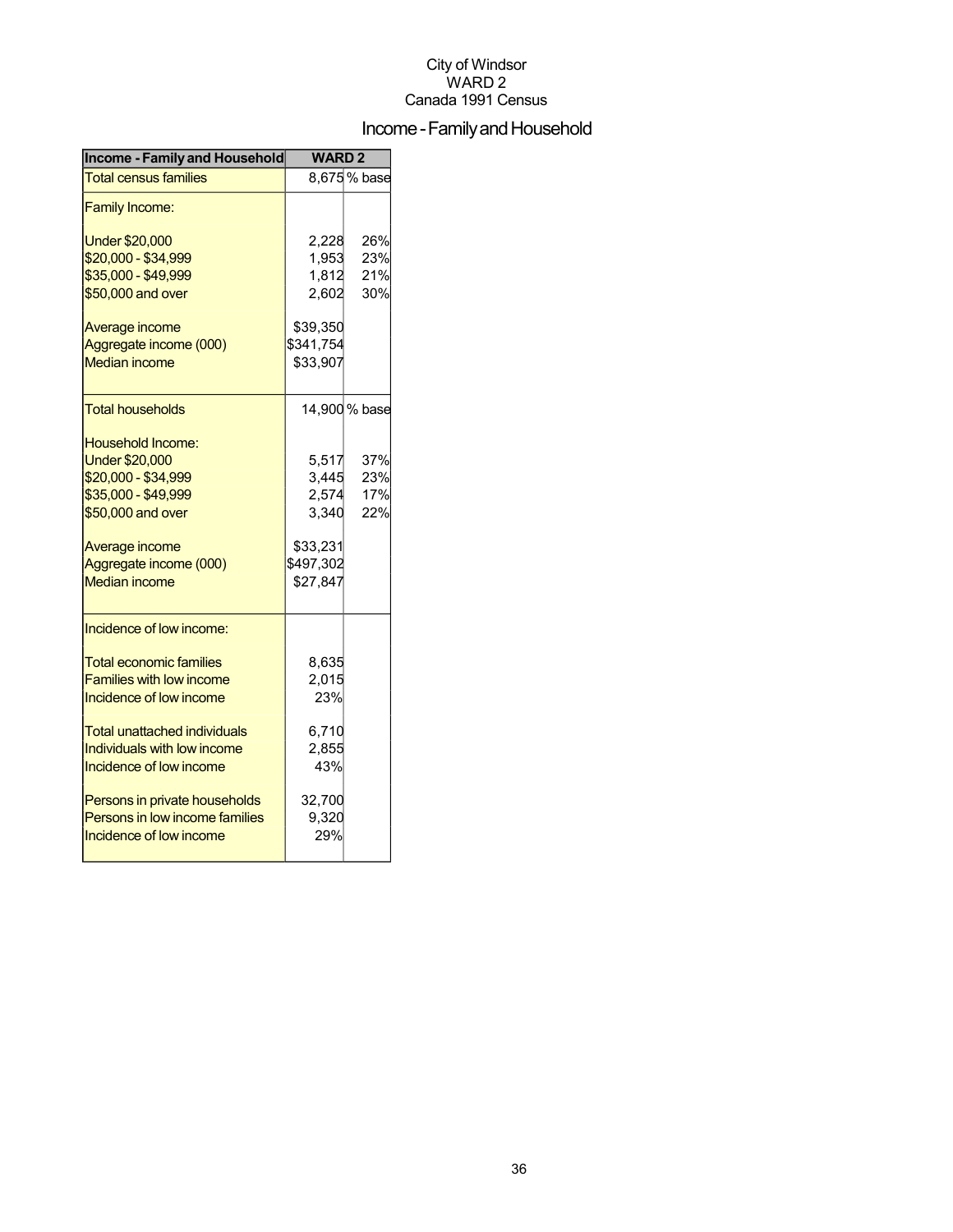## Income - Family and Household

| <b>Income - Family and Household</b> | <b>WARD2</b> |               |  |
|--------------------------------------|--------------|---------------|--|
| <b>Total census families</b>         |              | 8,675% base   |  |
| <b>Family Income:</b>                |              |               |  |
| <b>Under \$20,000</b>                | 2,228        | 26%           |  |
| \$20,000 - \$34,999                  | 1,953        | 23%           |  |
| \$35,000 - \$49,999                  | 1,812        | 21%           |  |
| \$50,000 and over                    | 2,602        | 30%           |  |
| Average income                       | \$39,350     |               |  |
| Aggregate income (000)               | \$341,754    |               |  |
| <b>Median income</b>                 | \$33,907     |               |  |
| <b>Total households</b>              |              | 14,900 % base |  |
| Household Income:                    |              |               |  |
| <b>Under \$20,000</b>                | 5,517        | 37%           |  |
| \$20,000 - \$34,999                  | 3,445        | 23%           |  |
| \$35,000 - \$49,999                  | 2,574        | 17%           |  |
| \$50,000 and over                    | 3,340        | 22%           |  |
| Average income                       | \$33,231     |               |  |
| Aggregate income (000)               | \$497,302    |               |  |
| <b>Median income</b>                 | \$27,847     |               |  |
| Incidence of low income:             |              |               |  |
| <b>Total economic families</b>       | 8,635        |               |  |
| <b>Families with low income</b>      | 2,015        |               |  |
| Incidence of low income              | 23%          |               |  |
| Total unattached individuals         | 6,710        |               |  |
| Individuals with low income          | 2,855        |               |  |
| Incidence of low income              | 43%          |               |  |
| Persons in private households        | 32,700       |               |  |
| Persons in low income families       | 9,320        |               |  |
| Incidence of low income              | 29%          |               |  |